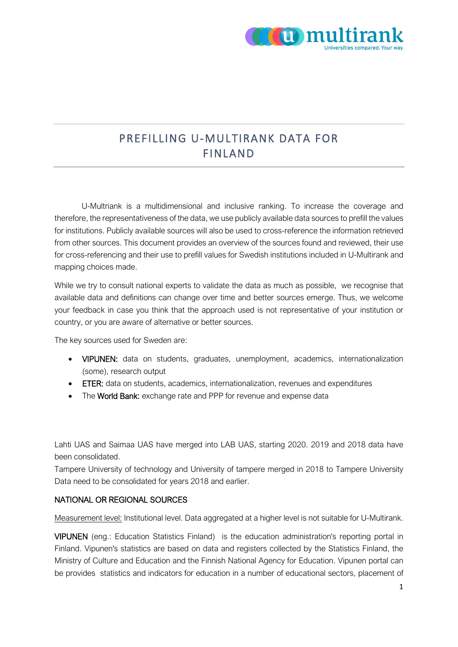

# PREFILLING U-MULTIRANK DATA FOR FINLAND

U-Multriank is a multidimensional and inclusive ranking. To increase the coverage and therefore, the representativeness of the data, we use publicly available data sources to prefill the values for institutions. Publicly available sources will also be used to cross-reference the information retrieved from other sources. This document provides an overview of the sources found and reviewed, their use for cross-referencing and their use to prefill values for Swedish institutions included in U-Multirank and mapping choices made.

While we try to consult national experts to validate the data as much as possible, we recognise that available data and definitions can change over time and better sources emerge. Thus, we welcome your feedback in case you think that the approach used is not representative of your institution or country, or you are aware of alternative or better sources.

The key sources used for Sweden are:

- VIPUNEN: data on students, graduates, unemployment, academics, internationalization (some), research output
- ETER: data on students, academics, internationalization, revenues and expenditures
- The World Bank: exchange rate and PPP for revenue and expense data

Lahti UAS and Saimaa UAS have merged into LAB UAS, starting 2020. 2019 and 2018 data have been consolidated.

Tampere University of technology and University of tampere merged in 2018 to Tampere University Data need to be consolidated for years 2018 and earlier.

### NATIONAL OR REGIONAL SOURCES

Measurement level: Institutional level. Data aggregated at a higher level is not suitable for U-Multirank.

VIPUNEN (eng.: Education Statistics Finland) is the education administration's reporting portal in Finland. Vipunen's statistics are based on data and registers collected by the Statistics Finland, the Ministry of Culture and Education and the Finnish National Agency for Education. Vipunen portal can be provides statistics and indicators for education in a number of educational sectors, placement of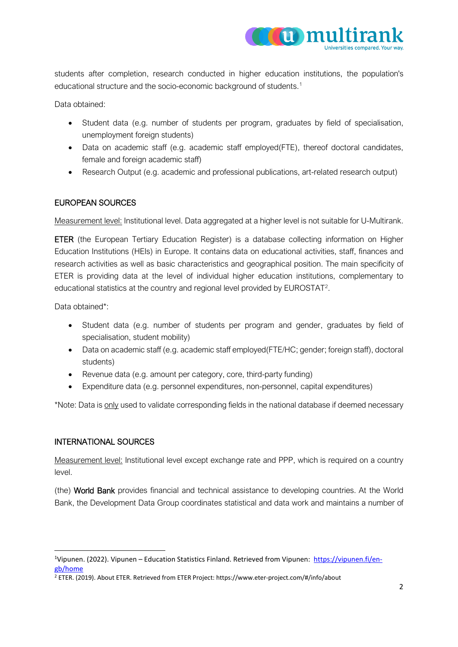

students after completion, research conducted in higher education institutions, the population's educational structure and the socio-economic background of students.<sup>[1](#page-1-0)</sup>

Data obtained:

- Student data (e.g. number of students per program, graduates by field of specialisation, unemployment foreign students)
- Data on academic staff (e.g. academic staff employed(FTE), thereof doctoral candidates, female and foreign academic staff)
- Research Output (e.g. academic and professional publications, art-related research output)

#### EUROPEAN SOURCES

Measurement level: Institutional level. Data aggregated at a higher level is not suitable for U-Multirank.

ETER (the European Tertiary Education Register) is a database collecting information on Higher Education Institutions (HEIs) in Europe. It contains data on educational activities, staff, finances and research activities as well as basic characteristics and geographical position. The main specificity of ETER is providing data at the level of individual higher education institutions, complementary to educational statistics at the country and regional level provided by EUROSTAT[2](#page-1-1).

Data obtained\*:

- Student data (e.g. number of students per program and gender, graduates by field of specialisation, student mobility)
- Data on academic staff (e.g. academic staff employed(FTE/HC; gender; foreign staff), doctoral students)
- Revenue data (e.g. amount per category, core, third-party funding)
- Expenditure data (e.g. personnel expenditures, non-personnel, capital expenditures)

\*Note: Data is only used to validate corresponding fields in the national database if deemed necessary

#### INTERNATIONAL SOURCES

Measurement level: Institutional level except exchange rate and PPP, which is required on a country level.

(the) World Bank provides financial and technical assistance to developing countries. At the World Bank, the Development Data Group coordinates statistical and data work and maintains a number of

<span id="page-1-0"></span><sup>&</sup>lt;sup>1</sup>Vipunen. (2022). Vipunen – Education Statistics Finland. Retrieved from Vipunen: [https://vipunen.fi/en](https://vipunen.fi/en-gb/home)[gb/home](https://vipunen.fi/en-gb/home)

<span id="page-1-1"></span><sup>2</sup> ETER. (2019). About ETER. Retrieved from ETER Project: https://www.eter-project.com/#/info/about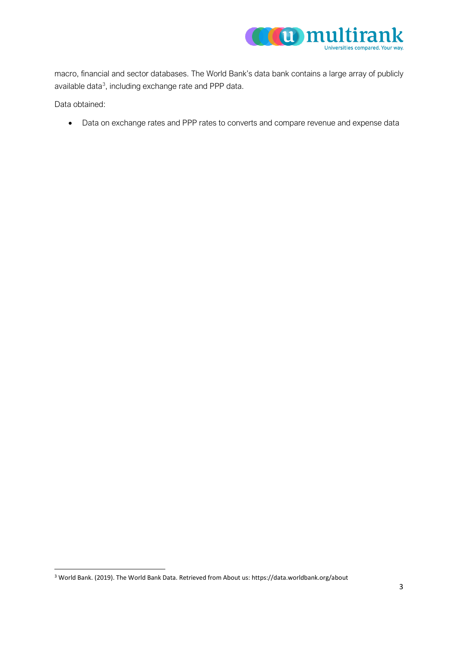

macro, financial and sector databases. The World Bank's data bank contains a large array of publicly available data<sup>3</sup>, including exchange rate and PPP data.

Data obtained:

• Data on exchange rates and PPP rates to converts and compare revenue and expense data

<span id="page-2-0"></span><sup>3</sup> World Bank. (2019). The World Bank Data. Retrieved from About us: https://data.worldbank.org/about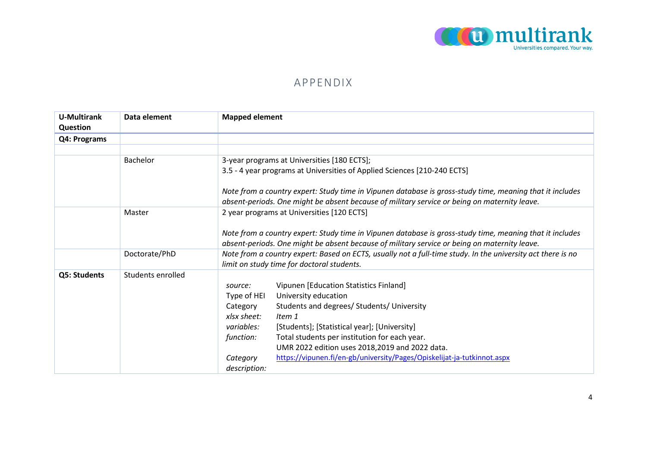

## APPENDIX

| <b>U-Multirank</b><br>Question | Data element      | <b>Mapped element</b>                                                                                                                                                                                    |
|--------------------------------|-------------------|----------------------------------------------------------------------------------------------------------------------------------------------------------------------------------------------------------|
| Q4: Programs                   |                   |                                                                                                                                                                                                          |
|                                |                   |                                                                                                                                                                                                          |
|                                | <b>Bachelor</b>   | 3-year programs at Universities [180 ECTS];                                                                                                                                                              |
|                                |                   | 3.5 - 4 year programs at Universities of Applied Sciences [210-240 ECTS]                                                                                                                                 |
|                                |                   | Note from a country expert: Study time in Vipunen database is gross-study time, meaning that it includes<br>absent-periods. One might be absent because of military service or being on maternity leave. |
|                                | Master            | 2 year programs at Universities [120 ECTS]                                                                                                                                                               |
|                                |                   |                                                                                                                                                                                                          |
|                                |                   | Note from a country expert: Study time in Vipunen database is gross-study time, meaning that it includes                                                                                                 |
|                                |                   | absent-periods. One might be absent because of military service or being on maternity leave.                                                                                                             |
|                                | Doctorate/PhD     | Note from a country expert: Based on ECTS, usually not a full-time study. In the university act there is no<br>limit on study time for doctoral students.                                                |
| Q5: Students                   | Students enrolled |                                                                                                                                                                                                          |
|                                |                   | Vipunen [Education Statistics Finland]<br>source:                                                                                                                                                        |
|                                |                   | University education<br>Type of HEI                                                                                                                                                                      |
|                                |                   | Students and degrees/ Students/ University<br>Category                                                                                                                                                   |
|                                |                   | xlsx sheet:<br>Item 1                                                                                                                                                                                    |
|                                |                   | variables:<br>[Students]; [Statistical year]; [University]                                                                                                                                               |
|                                |                   | Total students per institution for each year.<br>function:                                                                                                                                               |
|                                |                   | UMR 2022 edition uses 2018,2019 and 2022 data.                                                                                                                                                           |
|                                |                   | https://vipunen.fi/en-gb/university/Pages/Opiskelijat-ja-tutkinnot.aspx<br>Category                                                                                                                      |
|                                |                   | description:                                                                                                                                                                                             |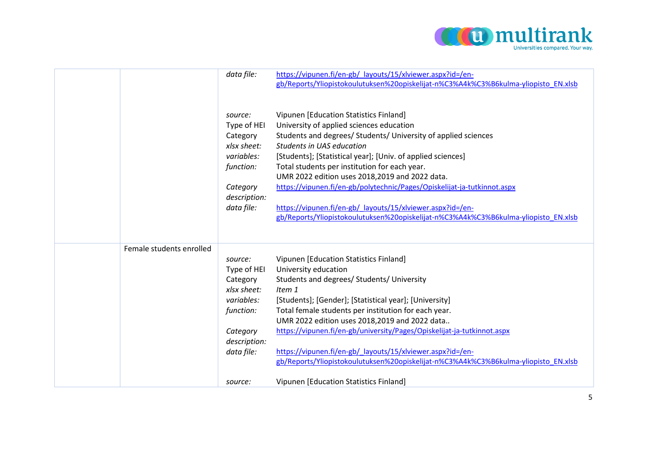

|                          | data file:<br>source:<br>Type of HEI<br>Category<br>xlsx sheet:<br>variables:<br>function:<br>Category<br>description:<br>data file: | https://vipunen.fi/en-gb/ layouts/15/xlviewer.aspx?id=/en-<br>gb/Reports/Yliopistokoulutuksen%20opiskelijat-n%C3%A4k%C3%B6kulma-yliopisto EN.xlsb<br>Vipunen [Education Statistics Finland]<br>University of applied sciences education<br>Students and degrees/ Students/ University of applied sciences<br>Students in UAS education<br>[Students]; [Statistical year]; [Univ. of applied sciences]<br>Total students per institution for each year.<br>UMR 2022 edition uses 2018,2019 and 2022 data.<br>https://vipunen.fi/en-gb/polytechnic/Pages/Opiskelijat-ja-tutkinnot.aspx<br>https://vipunen.fi/en-gb/ layouts/15/xlviewer.aspx?id=/en-<br>gb/Reports/Yliopistokoulutuksen%20opiskelijat-n%C3%A4k%C3%B6kulma-yliopisto_EN.xlsb |
|--------------------------|--------------------------------------------------------------------------------------------------------------------------------------|-------------------------------------------------------------------------------------------------------------------------------------------------------------------------------------------------------------------------------------------------------------------------------------------------------------------------------------------------------------------------------------------------------------------------------------------------------------------------------------------------------------------------------------------------------------------------------------------------------------------------------------------------------------------------------------------------------------------------------------------|
| Female students enrolled | source:<br>Type of HEI<br>Category<br>xlsx sheet:<br>variables:<br>function:<br>Category<br>description:<br>data file:               | Vipunen [Education Statistics Finland]<br>University education<br>Students and degrees/ Students/ University<br>Item 1<br>[Students]; [Gender]; [Statistical year]; [University]<br>Total female students per institution for each year.<br>UMR 2022 edition uses 2018,2019 and 2022 data<br>https://vipunen.fi/en-gb/university/Pages/Opiskelijat-ja-tutkinnot.aspx<br>https://vipunen.fi/en-gb/ layouts/15/xlviewer.aspx?id=/en-<br>gb/Reports/Yliopistokoulutuksen%20opiskelijat-n%C3%A4k%C3%B6kulma-yliopisto EN.xlsb                                                                                                                                                                                                                 |
|                          | source:                                                                                                                              | Vipunen [Education Statistics Finland]                                                                                                                                                                                                                                                                                                                                                                                                                                                                                                                                                                                                                                                                                                    |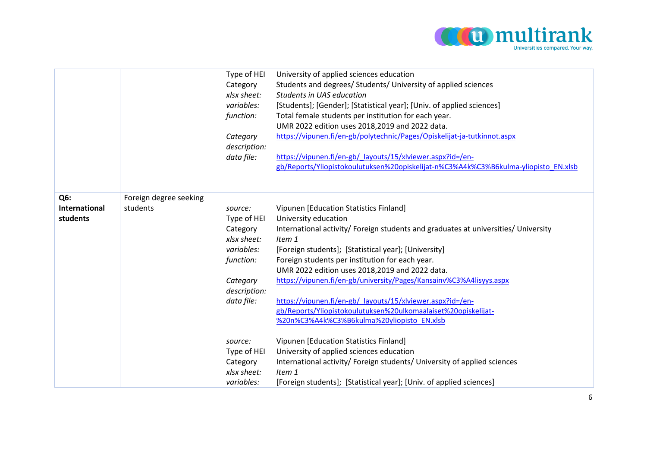

|                                         |                                    | Type of HEI<br>Category<br>xlsx sheet:<br>variables:<br>function:<br>Category<br>description:<br>data file:            | University of applied sciences education<br>Students and degrees/ Students/ University of applied sciences<br>Students in UAS education<br>[Students]; [Gender]; [Statistical year]; [Univ. of applied sciences]<br>Total female students per institution for each year.<br>UMR 2022 edition uses 2018,2019 and 2022 data.<br>https://vipunen.fi/en-gb/polytechnic/Pages/Opiskelijat-ja-tutkinnot.aspx<br>https://vipunen.fi/en-gb/_layouts/15/xlviewer.aspx?id=/en-<br>gb/Reports/Yliopistokoulutuksen%20opiskelijat-n%C3%A4k%C3%B6kulma-yliopisto EN.xlsb                      |
|-----------------------------------------|------------------------------------|------------------------------------------------------------------------------------------------------------------------|----------------------------------------------------------------------------------------------------------------------------------------------------------------------------------------------------------------------------------------------------------------------------------------------------------------------------------------------------------------------------------------------------------------------------------------------------------------------------------------------------------------------------------------------------------------------------------|
| Q6:<br><b>International</b><br>students | Foreign degree seeking<br>students | source:<br>Type of HEI<br>Category<br>xlsx sheet:<br>variables:<br>function:<br>Category<br>description:<br>data file: | Vipunen [Education Statistics Finland]<br>University education<br>International activity/ Foreign students and graduates at universities/ University<br>Item 1<br>[Foreign students]; [Statistical year]; [University]<br>Foreign students per institution for each year.<br>UMR 2022 edition uses 2018,2019 and 2022 data.<br>https://vipunen.fi/en-gb/university/Pages/Kansainv%C3%A4lisyys.aspx<br>https://vipunen.fi/en-gb/ layouts/15/xlviewer.aspx?id=/en-<br>gb/Reports/Yliopistokoulutuksen%20ulkomaalaiset%20opiskelijat-<br>%20n%C3%A4k%C3%B6kulma%20yliopisto EN.xlsb |
|                                         |                                    | source:<br>Type of HEI<br>Category<br>xlsx sheet:<br>variables:                                                        | Vipunen [Education Statistics Finland]<br>University of applied sciences education<br>International activity/ Foreign students/ University of applied sciences<br>Item 1<br>[Foreign students]; [Statistical year]; [Univ. of applied sciences]                                                                                                                                                                                                                                                                                                                                  |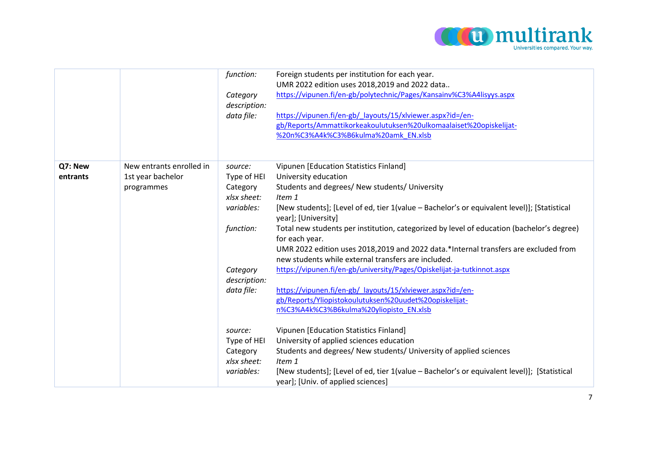

|                     |                                                             | function:<br>Category<br>description:<br>data file:             | Foreign students per institution for each year.<br>UMR 2022 edition uses 2018,2019 and 2022 data<br>https://vipunen.fi/en-gb/polytechnic/Pages/Kansainv%C3%A4lisyys.aspx<br>https://vipunen.fi/en-gb/ layouts/15/xlviewer.aspx?id=/en-<br>gb/Reports/Ammattikorkeakoulutuksen%20ulkomaalaiset%20opiskelijat-<br>%20n%C3%A4k%C3%B6kulma%20amk EN.xlsb |
|---------------------|-------------------------------------------------------------|-----------------------------------------------------------------|------------------------------------------------------------------------------------------------------------------------------------------------------------------------------------------------------------------------------------------------------------------------------------------------------------------------------------------------------|
| Q7: New<br>entrants | New entrants enrolled in<br>1st year bachelor<br>programmes | source:<br>Type of HEI<br>Category<br>xlsx sheet:<br>variables: | Vipunen [Education Statistics Finland]<br>University education<br>Students and degrees/ New students/ University<br>Item 1<br>[New students]; [Level of ed, tier 1(value - Bachelor's or equivalent level)]; [Statistical<br>year]; [University]                                                                                                     |
|                     |                                                             | function:                                                       | Total new students per institution, categorized by level of education (bachelor's degree)<br>for each year.<br>UMR 2022 edition uses 2018,2019 and 2022 data.*Internal transfers are excluded from<br>new students while external transfers are included.                                                                                            |
|                     |                                                             | Category<br>description:<br>data file:                          | https://vipunen.fi/en-gb/university/Pages/Opiskelijat-ja-tutkinnot.aspx<br>https://vipunen.fi/en-gb/_layouts/15/xlviewer.aspx?id=/en-                                                                                                                                                                                                                |
|                     |                                                             | source:                                                         | gb/Reports/Yliopistokoulutuksen%20uudet%20opiskelijat-<br>n%C3%A4k%C3%B6kulma%20yliopisto EN.xlsb<br>Vipunen [Education Statistics Finland]                                                                                                                                                                                                          |
|                     |                                                             | Type of HEI<br>Category<br>xlsx sheet:                          | University of applied sciences education<br>Students and degrees/ New students/ University of applied sciences<br>Item 1                                                                                                                                                                                                                             |
|                     |                                                             | variables:                                                      | [New students]; [Level of ed, tier 1(value - Bachelor's or equivalent level)]; [Statistical<br>year]; [Univ. of applied sciences]                                                                                                                                                                                                                    |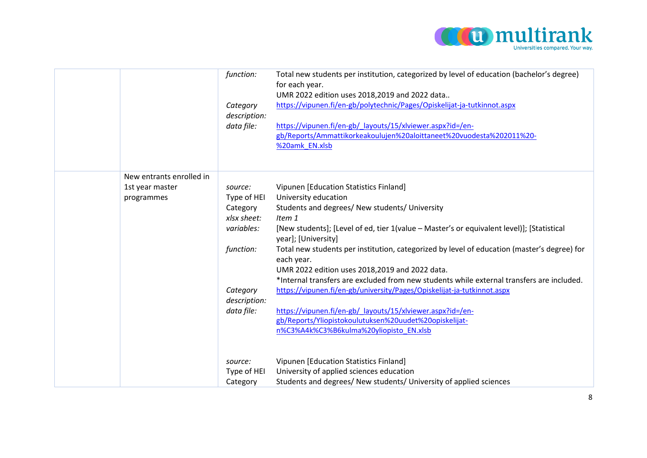

|                          | function:    | Total new students per institution, categorized by level of education (bachelor's degree)<br>for each year.<br>UMR 2022 edition uses 2018,2019 and 2022 data |
|--------------------------|--------------|--------------------------------------------------------------------------------------------------------------------------------------------------------------|
|                          | Category     | https://vipunen.fi/en-gb/polytechnic/Pages/Opiskelijat-ja-tutkinnot.aspx                                                                                     |
|                          | description: |                                                                                                                                                              |
|                          | data file:   | https://vipunen.fi/en-gb/ layouts/15/xlviewer.aspx?id=/en-                                                                                                   |
|                          |              | gb/Reports/Ammattikorkeakoulujen%20aloittaneet%20vuodesta%202011%20-                                                                                         |
|                          |              | %20amk_EN.xlsb                                                                                                                                               |
|                          |              |                                                                                                                                                              |
| New entrants enrolled in |              |                                                                                                                                                              |
| 1st year master          | source:      | Vipunen [Education Statistics Finland]                                                                                                                       |
| programmes               | Type of HEI  | University education                                                                                                                                         |
|                          | Category     | Students and degrees/ New students/ University                                                                                                               |
|                          | xlsx sheet:  | Item 1                                                                                                                                                       |
|                          | variables:   | [New students]; [Level of ed, tier 1(value - Master's or equivalent level)]; [Statistical<br>year]; [University]                                             |
|                          | function:    | Total new students per institution, categorized by level of education (master's degree) for<br>each year.                                                    |
|                          |              | UMR 2022 edition uses 2018,2019 and 2022 data.                                                                                                               |
|                          |              | *Internal transfers are excluded from new students while external transfers are included.                                                                    |
|                          | Category     | https://vipunen.fi/en-gb/university/Pages/Opiskelijat-ja-tutkinnot.aspx                                                                                      |
|                          | description: |                                                                                                                                                              |
|                          | data file:   | https://vipunen.fi/en-gb/ layouts/15/xlviewer.aspx?id=/en-                                                                                                   |
|                          |              | gb/Reports/Yliopistokoulutuksen%20uudet%20opiskelijat-                                                                                                       |
|                          |              | n%C3%A4k%C3%B6kulma%20yliopisto EN.xlsb                                                                                                                      |
|                          |              |                                                                                                                                                              |
|                          | source:      | Vipunen [Education Statistics Finland]                                                                                                                       |
|                          | Type of HEI  | University of applied sciences education                                                                                                                     |
|                          | Category     | Students and degrees/ New students/ University of applied sciences                                                                                           |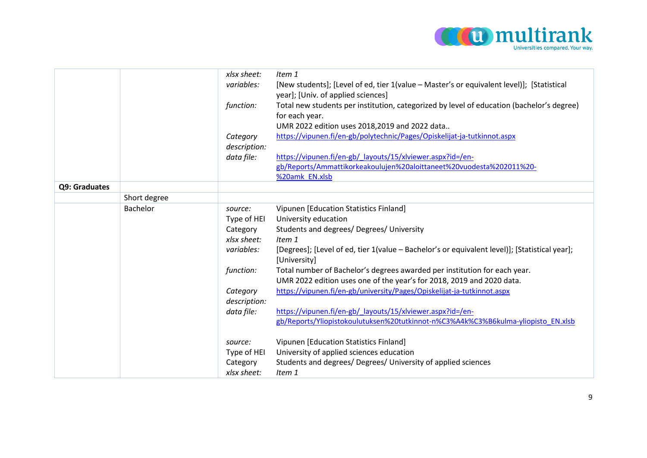

|               |              | xlsx sheet:  | Item 1                                                                                                        |
|---------------|--------------|--------------|---------------------------------------------------------------------------------------------------------------|
|               |              | variables:   | [New students]; [Level of ed, tier 1(value - Master's or equivalent level)]; [Statistical                     |
|               |              |              | year]; [Univ. of applied sciences]                                                                            |
|               |              | function:    | Total new students per institution, categorized by level of education (bachelor's degree)                     |
|               |              |              | for each year.                                                                                                |
|               |              |              | UMR 2022 edition uses 2018,2019 and 2022 data                                                                 |
|               |              | Category     | https://vipunen.fi/en-gb/polytechnic/Pages/Opiskelijat-ja-tutkinnot.aspx                                      |
|               |              | description: |                                                                                                               |
|               |              | data file:   | https://vipunen.fi/en-gb/_layouts/15/xlviewer.aspx?id=/en-                                                    |
|               |              |              | gb/Reports/Ammattikorkeakoulujen%20aloittaneet%20vuodesta%202011%20-                                          |
|               |              |              | %20amk EN.xlsb                                                                                                |
| Q9: Graduates |              |              |                                                                                                               |
|               | Short degree |              |                                                                                                               |
|               | Bachelor     | source:      | Vipunen [Education Statistics Finland]                                                                        |
|               |              | Type of HEI  | University education                                                                                          |
|               |              | Category     | Students and degrees/ Degrees/ University                                                                     |
|               |              | xlsx sheet:  | Item 1                                                                                                        |
|               |              | variables:   | [Degrees]; [Level of ed, tier 1(value - Bachelor's or equivalent level)]; [Statistical year];<br>[University] |
|               |              | function:    | Total number of Bachelor's degrees awarded per institution for each year.                                     |
|               |              |              | UMR 2022 edition uses one of the year's for 2018, 2019 and 2020 data.                                         |
|               |              | Category     | https://vipunen.fi/en-gb/university/Pages/Opiskelijat-ja-tutkinnot.aspx                                       |
|               |              | description: |                                                                                                               |
|               |              | data file:   | https://vipunen.fi/en-gb/ layouts/15/xlviewer.aspx?id=/en-                                                    |
|               |              |              | gb/Reports/Yliopistokoulutuksen%20tutkinnot-n%C3%A4k%C3%B6kulma-yliopisto EN.xlsb                             |
|               |              | source:      | Vipunen [Education Statistics Finland]                                                                        |
|               |              | Type of HEI  | University of applied sciences education                                                                      |
|               |              | Category     | Students and degrees/ Degrees/ University of applied sciences                                                 |
|               |              | xlsx sheet:  | Item 1                                                                                                        |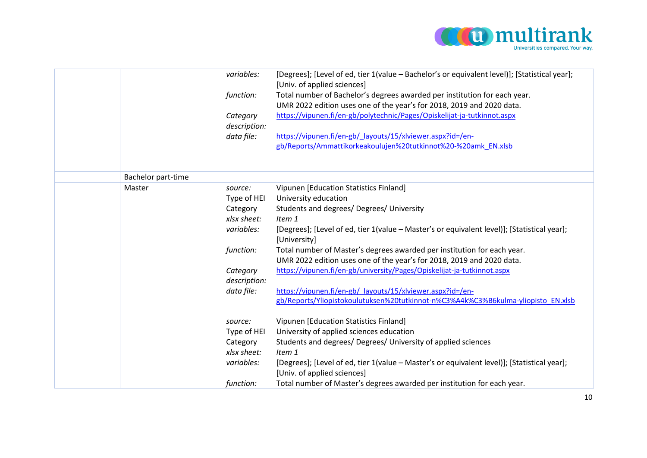

|                    | variables:   | [Degrees]; [Level of ed, tier 1(value - Bachelor's or equivalent level)]; [Statistical year];<br>[Univ. of applied sciences] |
|--------------------|--------------|------------------------------------------------------------------------------------------------------------------------------|
|                    | function:    | Total number of Bachelor's degrees awarded per institution for each year.                                                    |
|                    |              | UMR 2022 edition uses one of the year's for 2018, 2019 and 2020 data.                                                        |
|                    | Category     | https://vipunen.fi/en-gb/polytechnic/Pages/Opiskelijat-ja-tutkinnot.aspx                                                     |
|                    | description: |                                                                                                                              |
|                    | data file:   | https://vipunen.fi/en-gb/ layouts/15/xlviewer.aspx?id=/en-                                                                   |
|                    |              | gb/Reports/Ammattikorkeakoulujen%20tutkinnot%20-%20amk EN.xlsb                                                               |
|                    |              |                                                                                                                              |
|                    |              |                                                                                                                              |
| Bachelor part-time |              |                                                                                                                              |
| Master             | source:      | Vipunen [Education Statistics Finland]                                                                                       |
|                    | Type of HEI  | University education                                                                                                         |
|                    | Category     | Students and degrees/ Degrees/ University                                                                                    |
|                    | xlsx sheet:  | Item 1                                                                                                                       |
|                    | variables:   | [Degrees]; [Level of ed, tier 1(value - Master's or equivalent level)]; [Statistical year];<br>[University]                  |
|                    | function:    | Total number of Master's degrees awarded per institution for each year.                                                      |
|                    |              | UMR 2022 edition uses one of the year's for 2018, 2019 and 2020 data.                                                        |
|                    | Category     | https://vipunen.fi/en-gb/university/Pages/Opiskelijat-ja-tutkinnot.aspx                                                      |
|                    | description: |                                                                                                                              |
|                    | data file:   | https://vipunen.fi/en-gb/ layouts/15/xlviewer.aspx?id=/en-                                                                   |
|                    |              | gb/Reports/Yliopistokoulutuksen%20tutkinnot-n%C3%A4k%C3%B6kulma-yliopisto_EN.xlsb                                            |
|                    |              |                                                                                                                              |
|                    | source:      | Vipunen [Education Statistics Finland]                                                                                       |
|                    | Type of HEI  | University of applied sciences education                                                                                     |
|                    | Category     | Students and degrees/ Degrees/ University of applied sciences                                                                |
|                    | xlsx sheet:  | Item 1                                                                                                                       |
|                    | variables:   | [Degrees]; [Level of ed, tier 1(value - Master's or equivalent level)]; [Statistical year];                                  |
|                    |              | [Univ. of applied sciences]                                                                                                  |
|                    | function:    | Total number of Master's degrees awarded per institution for each year.                                                      |
|                    |              |                                                                                                                              |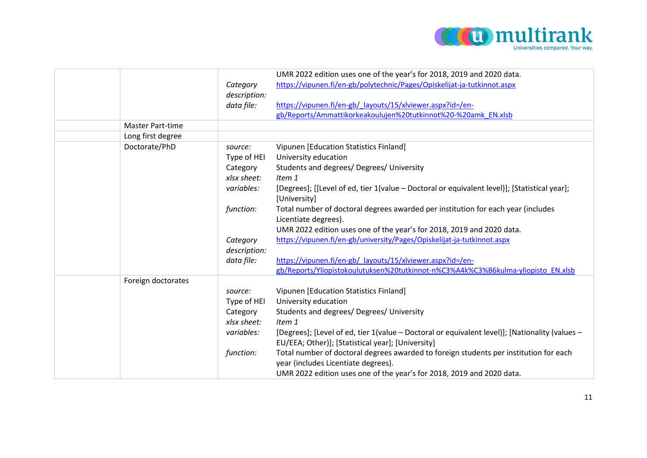

|                         |                       | UMR 2022 edition uses one of the year's for 2018, 2019 and 2020 data.                                                                                                                                                                                                                                                                                                                                                                                                              |
|-------------------------|-----------------------|------------------------------------------------------------------------------------------------------------------------------------------------------------------------------------------------------------------------------------------------------------------------------------------------------------------------------------------------------------------------------------------------------------------------------------------------------------------------------------|
|                         | Category              | https://vipunen.fi/en-gb/polytechnic/Pages/Opiskelijat-ja-tutkinnot.aspx                                                                                                                                                                                                                                                                                                                                                                                                           |
|                         | description:          |                                                                                                                                                                                                                                                                                                                                                                                                                                                                                    |
|                         | data file:            | https://vipunen.fi/en-gb/ layouts/15/xlviewer.aspx?id=/en-                                                                                                                                                                                                                                                                                                                                                                                                                         |
|                         |                       | gb/Reports/Ammattikorkeakoulujen%20tutkinnot%20-%20amk_EN.xlsb                                                                                                                                                                                                                                                                                                                                                                                                                     |
| <b>Master Part-time</b> |                       |                                                                                                                                                                                                                                                                                                                                                                                                                                                                                    |
| Long first degree       |                       |                                                                                                                                                                                                                                                                                                                                                                                                                                                                                    |
| Doctorate/PhD           | source:               | Vipunen [Education Statistics Finland]                                                                                                                                                                                                                                                                                                                                                                                                                                             |
|                         | Type of HEI           | University education                                                                                                                                                                                                                                                                                                                                                                                                                                                               |
|                         | Category              | Students and degrees/ Degrees/ University                                                                                                                                                                                                                                                                                                                                                                                                                                          |
|                         | xlsx sheet:           | Item 1                                                                                                                                                                                                                                                                                                                                                                                                                                                                             |
|                         | variables:            |                                                                                                                                                                                                                                                                                                                                                                                                                                                                                    |
|                         |                       |                                                                                                                                                                                                                                                                                                                                                                                                                                                                                    |
|                         |                       |                                                                                                                                                                                                                                                                                                                                                                                                                                                                                    |
|                         |                       | Licentiate degrees).                                                                                                                                                                                                                                                                                                                                                                                                                                                               |
|                         |                       |                                                                                                                                                                                                                                                                                                                                                                                                                                                                                    |
|                         |                       | https://vipunen.fi/en-gb/university/Pages/Opiskelijat-ja-tutkinnot.aspx                                                                                                                                                                                                                                                                                                                                                                                                            |
|                         | description:          |                                                                                                                                                                                                                                                                                                                                                                                                                                                                                    |
|                         | data file:            | https://vipunen.fi/en-gb/ layouts/15/xlviewer.aspx?id=/en-                                                                                                                                                                                                                                                                                                                                                                                                                         |
|                         |                       | gb/Reports/Yliopistokoulutuksen%20tutkinnot-n%C3%A4k%C3%B6kulma-yliopisto EN.xlsb                                                                                                                                                                                                                                                                                                                                                                                                  |
| Foreign doctorates      |                       |                                                                                                                                                                                                                                                                                                                                                                                                                                                                                    |
|                         | source:               | Vipunen [Education Statistics Finland]                                                                                                                                                                                                                                                                                                                                                                                                                                             |
|                         | Type of HEI           | University education                                                                                                                                                                                                                                                                                                                                                                                                                                                               |
|                         | Category              | Students and degrees/ Degrees/ University                                                                                                                                                                                                                                                                                                                                                                                                                                          |
|                         | xlsx sheet:           | Item 1                                                                                                                                                                                                                                                                                                                                                                                                                                                                             |
|                         | variables:            | [Degrees]; [Level of ed, tier 1(value - Doctoral or equivalent level)]; [Nationality (values -                                                                                                                                                                                                                                                                                                                                                                                     |
|                         |                       | EU/EEA; Other)]; [Statistical year]; [University]                                                                                                                                                                                                                                                                                                                                                                                                                                  |
|                         | function:             |                                                                                                                                                                                                                                                                                                                                                                                                                                                                                    |
|                         |                       |                                                                                                                                                                                                                                                                                                                                                                                                                                                                                    |
|                         |                       |                                                                                                                                                                                                                                                                                                                                                                                                                                                                                    |
|                         | function:<br>Category | [Degrees]; [[Level of ed, tier 1(value - Doctoral or equivalent level)]; [Statistical year];<br>[University]<br>Total number of doctoral degrees awarded per institution for each year (includes<br>UMR 2022 edition uses one of the year's for 2018, 2019 and 2020 data.<br>Total number of doctoral degrees awarded to foreign students per institution for each<br>year (includes Licentiate degrees).<br>UMR 2022 edition uses one of the year's for 2018, 2019 and 2020 data. |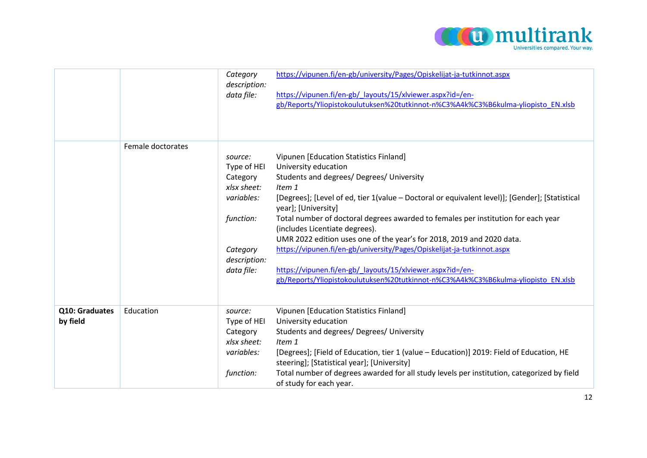

|                            |                   | Category<br>description:<br>data file:                                                                                 | https://vipunen.fi/en-gb/university/Pages/Opiskelijat-ja-tutkinnot.aspx<br>https://vipunen.fi/en-gb/ layouts/15/xlviewer.aspx?id=/en-<br>gb/Reports/Yliopistokoulutuksen%20tutkinnot-n%C3%A4k%C3%B6kulma-yliopisto EN.xlsb                                                                                                                                                                                                                                                                                                                                                                                                                                                   |
|----------------------------|-------------------|------------------------------------------------------------------------------------------------------------------------|------------------------------------------------------------------------------------------------------------------------------------------------------------------------------------------------------------------------------------------------------------------------------------------------------------------------------------------------------------------------------------------------------------------------------------------------------------------------------------------------------------------------------------------------------------------------------------------------------------------------------------------------------------------------------|
|                            | Female doctorates | source:<br>Type of HEI<br>Category<br>xlsx sheet:<br>variables:<br>function:<br>Category<br>description:<br>data file: | Vipunen [Education Statistics Finland]<br>University education<br>Students and degrees/ Degrees/ University<br>Item 1<br>[Degrees]; [Level of ed, tier 1(value - Doctoral or equivalent level)]; [Gender]; [Statistical<br>year]; [University]<br>Total number of doctoral degrees awarded to females per institution for each year<br>(includes Licentiate degrees).<br>UMR 2022 edition uses one of the year's for 2018, 2019 and 2020 data.<br>https://vipunen.fi/en-gb/university/Pages/Opiskelijat-ja-tutkinnot.aspx<br>https://vipunen.fi/en-gb/ layouts/15/xlviewer.aspx?id=/en-<br>gb/Reports/Yliopistokoulutuksen%20tutkinnot-n%C3%A4k%C3%B6kulma-yliopisto EN.xlsb |
| Q10: Graduates<br>by field | Education         | source:<br>Type of HEI<br>Category<br>xlsx sheet:<br>variables:<br>function:                                           | Vipunen [Education Statistics Finland]<br>University education<br>Students and degrees/ Degrees/ University<br>Item 1<br>[Degrees]; [Field of Education, tier 1 (value - Education)] 2019: Field of Education, HE<br>steering]; [Statistical year]; [University]<br>Total number of degrees awarded for all study levels per institution, categorized by field<br>of study for each year.                                                                                                                                                                                                                                                                                    |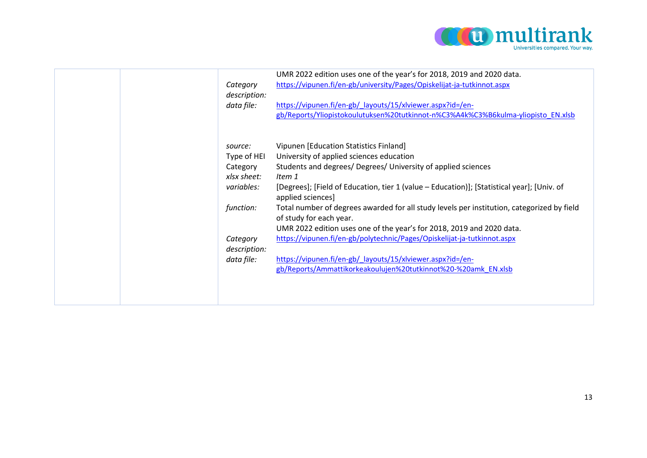

| Category<br>description:<br>data file: | UMR 2022 edition uses one of the year's for 2018, 2019 and 2020 data.<br>https://vipunen.fi/en-gb/university/Pages/Opiskelijat-ja-tutkinnot.aspx<br>https://vipunen.fi/en-gb/ layouts/15/xlviewer.aspx?id=/en-<br>gb/Reports/Yliopistokoulutuksen%20tutkinnot-n%C3%A4k%C3%B6kulma-yliopisto_EN.xlsb |
|----------------------------------------|-----------------------------------------------------------------------------------------------------------------------------------------------------------------------------------------------------------------------------------------------------------------------------------------------------|
| source:                                | Vipunen [Education Statistics Finland]                                                                                                                                                                                                                                                              |
|                                        |                                                                                                                                                                                                                                                                                                     |
| Type of HEI                            | University of applied sciences education                                                                                                                                                                                                                                                            |
| Category                               | Students and degrees/ Degrees/ University of applied sciences                                                                                                                                                                                                                                       |
| xlsx sheet:                            | Item 1                                                                                                                                                                                                                                                                                              |
| variables:                             | [Degrees]; [Field of Education, tier 1 (value - Education)]; [Statistical year]; [Univ. of<br>applied sciences]                                                                                                                                                                                     |
| function:                              | Total number of degrees awarded for all study levels per institution, categorized by field<br>of study for each year.                                                                                                                                                                               |
|                                        | UMR 2022 edition uses one of the year's for 2018, 2019 and 2020 data.                                                                                                                                                                                                                               |
| Category                               | https://vipunen.fi/en-gb/polytechnic/Pages/Opiskelijat-ja-tutkinnot.aspx                                                                                                                                                                                                                            |
| description:                           |                                                                                                                                                                                                                                                                                                     |
| data file:                             | https://vipunen.fi/en-gb/_layouts/15/xlviewer.aspx?id=/en-                                                                                                                                                                                                                                          |
|                                        | gb/Reports/Ammattikorkeakoulujen%20tutkinnot%20-%20amk_EN.xlsb                                                                                                                                                                                                                                      |
|                                        |                                                                                                                                                                                                                                                                                                     |
|                                        |                                                                                                                                                                                                                                                                                                     |
|                                        |                                                                                                                                                                                                                                                                                                     |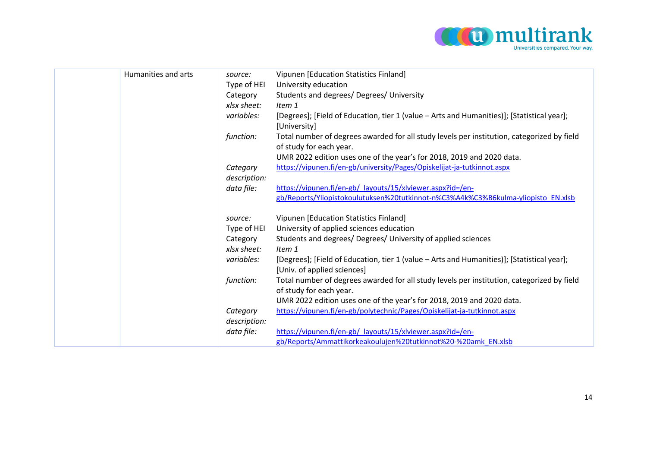

| Humanities and arts | source:                  | Vipunen [Education Statistics Finland]                                                                                    |
|---------------------|--------------------------|---------------------------------------------------------------------------------------------------------------------------|
|                     | Type of HEI              | University education                                                                                                      |
|                     | Category                 | Students and degrees/ Degrees/ University                                                                                 |
|                     | xlsx sheet:              | Item 1                                                                                                                    |
|                     | variables:               | [Degrees]; [Field of Education, tier 1 (value - Arts and Humanities)]; [Statistical year];<br>[University]                |
|                     | function:                | Total number of degrees awarded for all study levels per institution, categorized by field<br>of study for each year.     |
|                     |                          | UMR 2022 edition uses one of the year's for 2018, 2019 and 2020 data.                                                     |
|                     | Category                 | https://vipunen.fi/en-gb/university/Pages/Opiskelijat-ja-tutkinnot.aspx                                                   |
|                     | description:             |                                                                                                                           |
|                     | data file:               | https://vipunen.fi/en-gb/ layouts/15/xlviewer.aspx?id=/en-                                                                |
|                     |                          | gb/Reports/Yliopistokoulutuksen%20tutkinnot-n%C3%A4k%C3%B6kulma-yliopisto EN.xlsb                                         |
|                     | source:                  | Vipunen [Education Statistics Finland]                                                                                    |
|                     | Type of HEI              | University of applied sciences education                                                                                  |
|                     | Category                 | Students and degrees/ Degrees/ University of applied sciences                                                             |
|                     | xlsx sheet:              | Item 1                                                                                                                    |
|                     | variables:               | [Degrees]; [Field of Education, tier 1 (value - Arts and Humanities)]; [Statistical year];<br>[Univ. of applied sciences] |
|                     | function:                | Total number of degrees awarded for all study levels per institution, categorized by field<br>of study for each year.     |
|                     |                          | UMR 2022 edition uses one of the year's for 2018, 2019 and 2020 data.                                                     |
|                     | Category<br>description: | https://vipunen.fi/en-gb/polytechnic/Pages/Opiskelijat-ja-tutkinnot.aspx                                                  |
|                     | data file:               | https://vipunen.fi/en-gb/ layouts/15/xlviewer.aspx?id=/en-                                                                |
|                     |                          | gb/Reports/Ammattikorkeakoulujen%20tutkinnot%20-%20amk EN.xlsb                                                            |
|                     |                          |                                                                                                                           |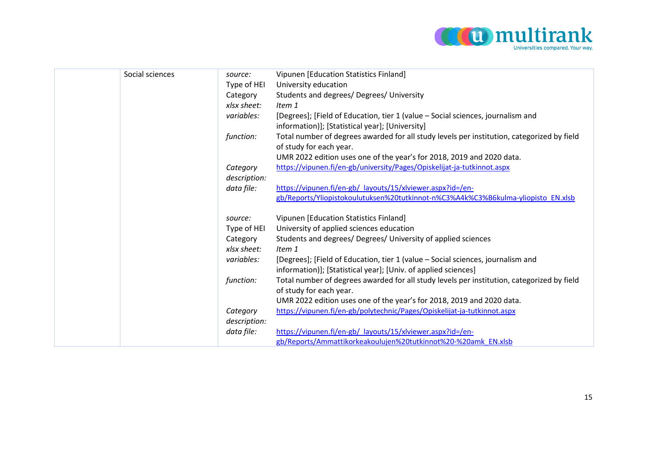

| Social sciences | source:      | Vipunen [Education Statistics Finland]                                                     |
|-----------------|--------------|--------------------------------------------------------------------------------------------|
|                 | Type of HEI  | University education                                                                       |
|                 | Category     | Students and degrees/ Degrees/ University                                                  |
|                 | xlsx sheet:  | Item 1                                                                                     |
|                 | variables:   | [Degrees]; [Field of Education, tier 1 (value - Social sciences, journalism and            |
|                 |              | information)]; [Statistical year]; [University]                                            |
|                 | function:    | Total number of degrees awarded for all study levels per institution, categorized by field |
|                 |              | of study for each year.                                                                    |
|                 |              | UMR 2022 edition uses one of the year's for 2018, 2019 and 2020 data.                      |
|                 | Category     | https://vipunen.fi/en-gb/university/Pages/Opiskelijat-ja-tutkinnot.aspx                    |
|                 | description: |                                                                                            |
|                 | data file:   | https://vipunen.fi/en-gb/ layouts/15/xlviewer.aspx?id=/en-                                 |
|                 |              | gb/Reports/Yliopistokoulutuksen%20tutkinnot-n%C3%A4k%C3%B6kulma-yliopisto EN.xlsb          |
|                 | source:      | Vipunen [Education Statistics Finland]                                                     |
|                 | Type of HEI  | University of applied sciences education                                                   |
|                 | Category     | Students and degrees/ Degrees/ University of applied sciences                              |
|                 | xlsx sheet:  | Item 1                                                                                     |
|                 | variables:   | [Degrees]; [Field of Education, tier 1 (value - Social sciences, journalism and            |
|                 |              | information)]; [Statistical year]; [Univ. of applied sciences]                             |
|                 | function:    | Total number of degrees awarded for all study levels per institution, categorized by field |
|                 |              | of study for each year.                                                                    |
|                 |              | UMR 2022 edition uses one of the year's for 2018, 2019 and 2020 data.                      |
|                 | Category     | https://vipunen.fi/en-gb/polytechnic/Pages/Opiskelijat-ja-tutkinnot.aspx                   |
|                 | description: |                                                                                            |
|                 | data file:   | https://vipunen.fi/en-gb/ layouts/15/xlviewer.aspx?id=/en-                                 |
|                 |              | gb/Reports/Ammattikorkeakoulujen%20tutkinnot%20-%20amk EN.xlsb                             |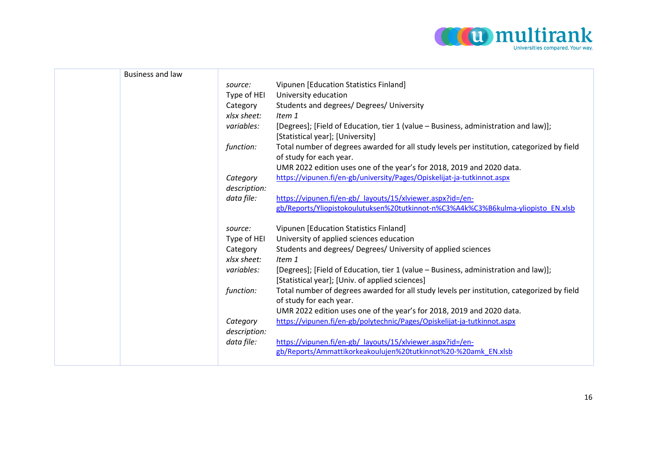

| <b>Business and law</b> |              |                                                                                                                       |
|-------------------------|--------------|-----------------------------------------------------------------------------------------------------------------------|
|                         | source:      | Vipunen [Education Statistics Finland]                                                                                |
|                         | Type of HEI  | University education                                                                                                  |
|                         | Category     | Students and degrees/ Degrees/ University                                                                             |
|                         | xlsx sheet:  | Item 1                                                                                                                |
|                         | variables:   | [Degrees]; [Field of Education, tier 1 (value - Business, administration and law)];                                   |
|                         |              | [Statistical year]; [University]                                                                                      |
|                         | function:    | Total number of degrees awarded for all study levels per institution, categorized by field                            |
|                         |              | of study for each year.                                                                                               |
|                         |              | UMR 2022 edition uses one of the year's for 2018, 2019 and 2020 data.                                                 |
|                         | Category     | https://vipunen.fi/en-gb/university/Pages/Opiskelijat-ja-tutkinnot.aspx                                               |
|                         | description: |                                                                                                                       |
|                         | data file:   | https://vipunen.fi/en-gb/ layouts/15/xlviewer.aspx?id=/en-                                                            |
|                         |              | gb/Reports/Yliopistokoulutuksen%20tutkinnot-n%C3%A4k%C3%B6kulma-yliopisto EN.xlsb                                     |
|                         | source:      | Vipunen [Education Statistics Finland]                                                                                |
|                         | Type of HEI  | University of applied sciences education                                                                              |
|                         | Category     | Students and degrees/ Degrees/ University of applied sciences                                                         |
|                         | xlsx sheet:  | Item 1                                                                                                                |
|                         | variables:   | [Degrees]; [Field of Education, tier 1 (value – Business, administration and law)];                                   |
|                         |              | [Statistical year]; [Univ. of applied sciences]                                                                       |
|                         | function:    | Total number of degrees awarded for all study levels per institution, categorized by field<br>of study for each year. |
|                         |              | UMR 2022 edition uses one of the year's for 2018, 2019 and 2020 data.                                                 |
|                         | Category     | https://vipunen.fi/en-gb/polytechnic/Pages/Opiskelijat-ja-tutkinnot.aspx                                              |
|                         | description: |                                                                                                                       |
|                         | data file:   | https://vipunen.fi/en-gb/ layouts/15/xlviewer.aspx?id=/en-                                                            |
|                         |              | gb/Reports/Ammattikorkeakoulujen%20tutkinnot%20-%20amk EN.xlsb                                                        |
|                         |              |                                                                                                                       |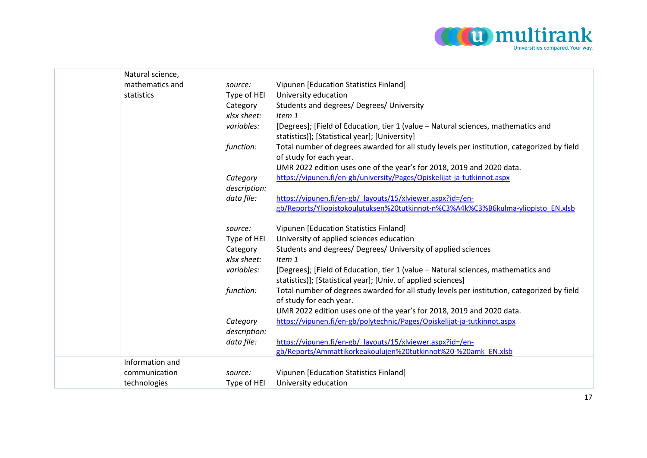

| Natural science, |              |                                                                                            |
|------------------|--------------|--------------------------------------------------------------------------------------------|
| mathematics and  | source:      | Vipunen [Education Statistics Finland]                                                     |
| statistics       | Type of HEI  | University education                                                                       |
|                  | Category     | Students and degrees/ Degrees/ University                                                  |
|                  | xlsx sheet:  | Item 1                                                                                     |
|                  | variables:   | [Degrees]; [Field of Education, tier 1 (value - Natural sciences, mathematics and          |
|                  |              | statistics)]; [Statistical year]; [University]                                             |
|                  | function:    | Total number of degrees awarded for all study levels per institution, categorized by field |
|                  |              | of study for each year.                                                                    |
|                  |              | UMR 2022 edition uses one of the year's for 2018, 2019 and 2020 data.                      |
|                  | Category     | https://vipunen.fi/en-gb/university/Pages/Opiskelijat-ja-tutkinnot.aspx                    |
|                  | description: |                                                                                            |
|                  | data file:   | https://vipunen.fi/en-gb/ layouts/15/xlviewer.aspx?id=/en-                                 |
|                  |              | gb/Reports/Yliopistokoulutuksen%20tutkinnot-n%C3%A4k%C3%B6kulma-yliopisto EN.xlsb          |
|                  | source:      | Vipunen [Education Statistics Finland]                                                     |
|                  | Type of HEI  | University of applied sciences education                                                   |
|                  | Category     | Students and degrees/ Degrees/ University of applied sciences                              |
|                  | xlsx sheet:  | Item 1                                                                                     |
|                  | variables:   | [Degrees]; [Field of Education, tier 1 (value - Natural sciences, mathematics and          |
|                  |              | statistics)]; [Statistical year]; [Univ. of applied sciences]                              |
|                  | function:    | Total number of degrees awarded for all study levels per institution, categorized by field |
|                  |              | of study for each year.                                                                    |
|                  |              | UMR 2022 edition uses one of the year's for 2018, 2019 and 2020 data.                      |
|                  | Category     | https://vipunen.fi/en-gb/polytechnic/Pages/Opiskelijat-ja-tutkinnot.aspx                   |
|                  | description: |                                                                                            |
|                  | data file:   | https://vipunen.fi/en-gb/ layouts/15/xlviewer.aspx?id=/en-                                 |
|                  |              | gb/Reports/Ammattikorkeakoulujen%20tutkinnot%20-%20amk EN.xlsb                             |
| Information and  |              |                                                                                            |
| communication    | source:      | Vipunen [Education Statistics Finland]                                                     |
| technologies     | Type of HEI  | University education                                                                       |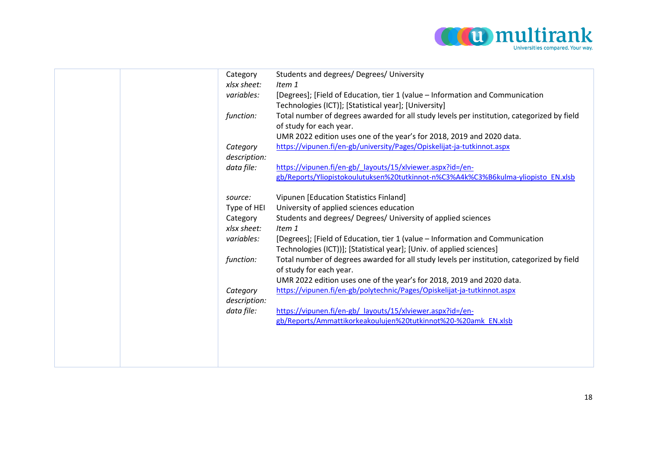

|  | Category     | Students and degrees/ Degrees/ University                                                  |
|--|--------------|--------------------------------------------------------------------------------------------|
|  | xlsx sheet:  | Item 1                                                                                     |
|  | variables:   | [Degrees]; [Field of Education, tier 1 (value – Information and Communication              |
|  |              | Technologies (ICT)]; [Statistical year]; [University]                                      |
|  | function:    | Total number of degrees awarded for all study levels per institution, categorized by field |
|  |              | of study for each year.                                                                    |
|  |              | UMR 2022 edition uses one of the year's for 2018, 2019 and 2020 data.                      |
|  | Category     | https://vipunen.fi/en-gb/university/Pages/Opiskelijat-ja-tutkinnot.aspx                    |
|  | description: |                                                                                            |
|  | data file:   | https://vipunen.fi/en-gb/ layouts/15/xlviewer.aspx?id=/en-                                 |
|  |              | gb/Reports/Yliopistokoulutuksen%20tutkinnot-n%C3%A4k%C3%B6kulma-yliopisto EN.xlsb          |
|  |              |                                                                                            |
|  | source:      | Vipunen [Education Statistics Finland]                                                     |
|  | Type of HEI  | University of applied sciences education                                                   |
|  | Category     | Students and degrees/ Degrees/ University of applied sciences                              |
|  | xlsx sheet:  | Item 1                                                                                     |
|  | variables:   | [Degrees]; [Field of Education, tier 1 (value – Information and Communication              |
|  |              | Technologies (ICT))]; [Statistical year]; [Univ. of applied sciences]                      |
|  | function:    | Total number of degrees awarded for all study levels per institution, categorized by field |
|  |              | of study for each year.                                                                    |
|  |              | UMR 2022 edition uses one of the year's for 2018, 2019 and 2020 data.                      |
|  | Category     | https://vipunen.fi/en-gb/polytechnic/Pages/Opiskelijat-ja-tutkinnot.aspx                   |
|  | description: |                                                                                            |
|  | data file:   | https://vipunen.fi/en-gb/_layouts/15/xlviewer.aspx?id=/en-                                 |
|  |              | gb/Reports/Ammattikorkeakoulujen%20tutkinnot%20-%20amk EN.xlsb                             |
|  |              |                                                                                            |
|  |              |                                                                                            |
|  |              |                                                                                            |
|  |              |                                                                                            |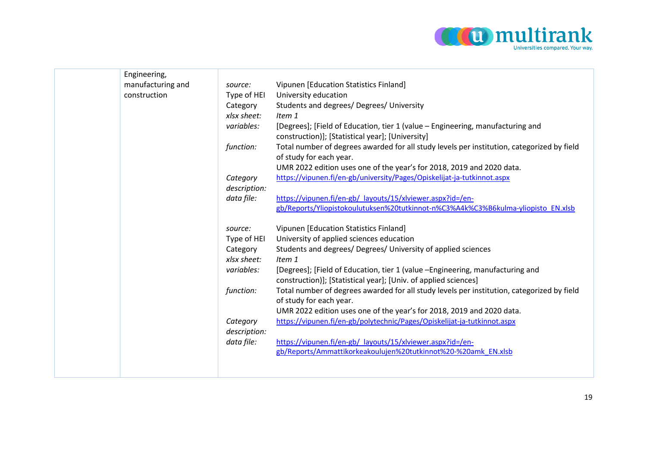

| Engineering,      |                         |                                                                                                                                                  |
|-------------------|-------------------------|--------------------------------------------------------------------------------------------------------------------------------------------------|
| manufacturing and | source:                 | Vipunen [Education Statistics Finland]                                                                                                           |
| construction      | Type of HEI             | University education                                                                                                                             |
|                   | Category                | Students and degrees/ Degrees/ University                                                                                                        |
|                   | xlsx sheet:             | Item 1                                                                                                                                           |
|                   | variables:              | [Degrees]; [Field of Education, tier 1 (value – Engineering, manufacturing and<br>construction)]; [Statistical year]; [University]               |
|                   | function:               | Total number of degrees awarded for all study levels per institution, categorized by field<br>of study for each year.                            |
|                   |                         | UMR 2022 edition uses one of the year's for 2018, 2019 and 2020 data.                                                                            |
|                   | Category                | https://vipunen.fi/en-gb/university/Pages/Opiskelijat-ja-tutkinnot.aspx                                                                          |
|                   | description:            |                                                                                                                                                  |
|                   | data file:              | https://vipunen.fi/en-gb/ layouts/15/xlviewer.aspx?id=/en-                                                                                       |
|                   |                         | gb/Reports/Yliopistokoulutuksen%20tutkinnot-n%C3%A4k%C3%B6kulma-yliopisto EN.xlsb                                                                |
|                   | source:                 | Vipunen [Education Statistics Finland]                                                                                                           |
|                   | Type of HEI             | University of applied sciences education                                                                                                         |
|                   | Category<br>xlsx sheet: | Students and degrees/ Degrees/ University of applied sciences<br>Item 1                                                                          |
|                   | variables:              | [Degrees]; [Field of Education, tier 1 (value -Engineering, manufacturing and<br>construction)]; [Statistical year]; [Univ. of applied sciences] |
|                   | function:               | Total number of degrees awarded for all study levels per institution, categorized by field<br>of study for each year.                            |
|                   |                         | UMR 2022 edition uses one of the year's for 2018, 2019 and 2020 data.                                                                            |
|                   | Category                | https://vipunen.fi/en-gb/polytechnic/Pages/Opiskelijat-ja-tutkinnot.aspx                                                                         |
|                   | description:            |                                                                                                                                                  |
|                   | data file:              | https://vipunen.fi/en-gb/ layouts/15/xlviewer.aspx?id=/en-                                                                                       |
|                   |                         | gb/Reports/Ammattikorkeakoulujen%20tutkinnot%20-%20amk EN.xlsb                                                                                   |
|                   |                         |                                                                                                                                                  |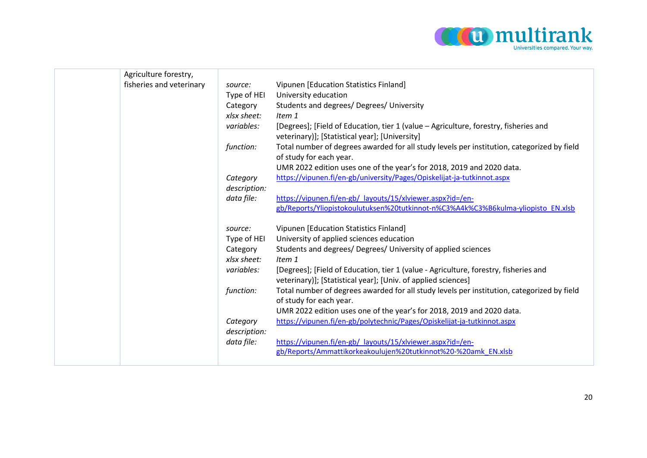

| Agriculture forestry,    |                          |                                                                                                                                                  |
|--------------------------|--------------------------|--------------------------------------------------------------------------------------------------------------------------------------------------|
| fisheries and veterinary | source:                  | Vipunen [Education Statistics Finland]                                                                                                           |
|                          | Type of HEI              | University education                                                                                                                             |
|                          | Category                 | Students and degrees/ Degrees/ University                                                                                                        |
|                          | xlsx sheet:              | Item 1                                                                                                                                           |
|                          | variables:               | [Degrees]; [Field of Education, tier 1 (value - Agriculture, forestry, fisheries and                                                             |
|                          |                          | veterinary)]; [Statistical year]; [University]                                                                                                   |
|                          | function:                | Total number of degrees awarded for all study levels per institution, categorized by field                                                       |
|                          |                          | of study for each year.                                                                                                                          |
|                          |                          | UMR 2022 edition uses one of the year's for 2018, 2019 and 2020 data.<br>https://vipunen.fi/en-gb/university/Pages/Opiskelijat-ja-tutkinnot.aspx |
|                          | Category<br>description: |                                                                                                                                                  |
|                          | data file:               | https://vipunen.fi/en-gb/ layouts/15/xlviewer.aspx?id=/en-                                                                                       |
|                          |                          | gb/Reports/Yliopistokoulutuksen%20tutkinnot-n%C3%A4k%C3%B6kulma-yliopisto EN.xlsb                                                                |
|                          |                          |                                                                                                                                                  |
|                          | source:                  | Vipunen [Education Statistics Finland]                                                                                                           |
|                          | Type of HEI              | University of applied sciences education                                                                                                         |
|                          | Category                 | Students and degrees/ Degrees/ University of applied sciences                                                                                    |
|                          | xlsx sheet:              | Item 1                                                                                                                                           |
|                          | variables:               | [Degrees]; [Field of Education, tier 1 (value - Agriculture, forestry, fisheries and                                                             |
|                          |                          | veterinary)]; [Statistical year]; [Univ. of applied sciences]                                                                                    |
|                          | function:                | Total number of degrees awarded for all study levels per institution, categorized by field<br>of study for each year.                            |
|                          |                          | UMR 2022 edition uses one of the year's for 2018, 2019 and 2020 data.                                                                            |
|                          | Category                 | https://vipunen.fi/en-gb/polytechnic/Pages/Opiskelijat-ja-tutkinnot.aspx                                                                         |
|                          | description:             |                                                                                                                                                  |
|                          | data file:               | https://vipunen.fi/en-gb/ layouts/15/xlviewer.aspx?id=/en-                                                                                       |
|                          |                          | gb/Reports/Ammattikorkeakoulujen%20tutkinnot%20-%20amk EN.xlsb                                                                                   |
|                          |                          |                                                                                                                                                  |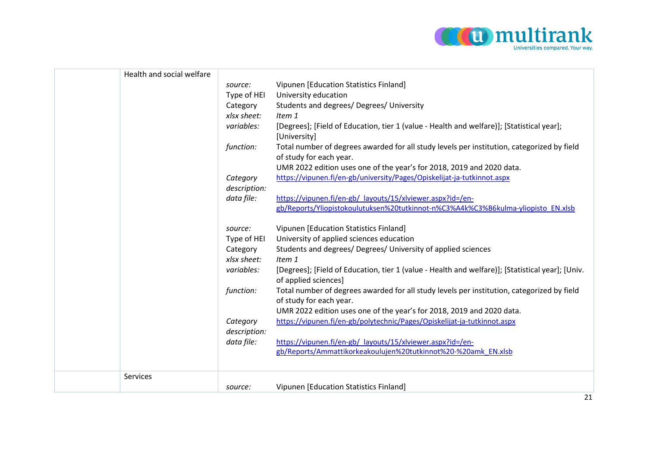

| Health and social welfare |              |                                                                                                                          |
|---------------------------|--------------|--------------------------------------------------------------------------------------------------------------------------|
|                           | source:      | Vipunen [Education Statistics Finland]                                                                                   |
|                           | Type of HEI  | University education                                                                                                     |
|                           | Category     | Students and degrees/ Degrees/ University                                                                                |
|                           | xlsx sheet:  | Item 1                                                                                                                   |
|                           | variables:   | [Degrees]; [Field of Education, tier 1 (value - Health and welfare)]; [Statistical year];<br>[University]                |
|                           | function:    | Total number of degrees awarded for all study levels per institution, categorized by field                               |
|                           |              | of study for each year.                                                                                                  |
|                           |              | UMR 2022 edition uses one of the year's for 2018, 2019 and 2020 data.                                                    |
|                           | Category     | https://vipunen.fi/en-gb/university/Pages/Opiskelijat-ja-tutkinnot.aspx                                                  |
|                           | description: |                                                                                                                          |
|                           | data file:   | https://vipunen.fi/en-gb/ layouts/15/xlviewer.aspx?id=/en-                                                               |
|                           |              | gb/Reports/Yliopistokoulutuksen%20tutkinnot-n%C3%A4k%C3%B6kulma-yliopisto EN.xlsb                                        |
|                           | source:      | Vipunen [Education Statistics Finland]                                                                                   |
|                           | Type of HEI  | University of applied sciences education                                                                                 |
|                           | Category     | Students and degrees/ Degrees/ University of applied sciences                                                            |
|                           | xlsx sheet:  | Item 1                                                                                                                   |
|                           | variables:   | [Degrees]; [Field of Education, tier 1 (value - Health and welfare)]; [Statistical year]; [Univ.<br>of applied sciences] |
|                           | function:    | Total number of degrees awarded for all study levels per institution, categorized by field<br>of study for each year.    |
|                           |              | UMR 2022 edition uses one of the year's for 2018, 2019 and 2020 data.                                                    |
|                           | Category     | https://vipunen.fi/en-gb/polytechnic/Pages/Opiskelijat-ja-tutkinnot.aspx                                                 |
|                           | description: |                                                                                                                          |
|                           | data file:   | https://vipunen.fi/en-gb/ layouts/15/xlviewer.aspx?id=/en-                                                               |
|                           |              | gb/Reports/Ammattikorkeakoulujen%20tutkinnot%20-%20amk EN.xlsb                                                           |
|                           |              |                                                                                                                          |
| Services                  |              |                                                                                                                          |
|                           | source:      | Vipunen [Education Statistics Finland]                                                                                   |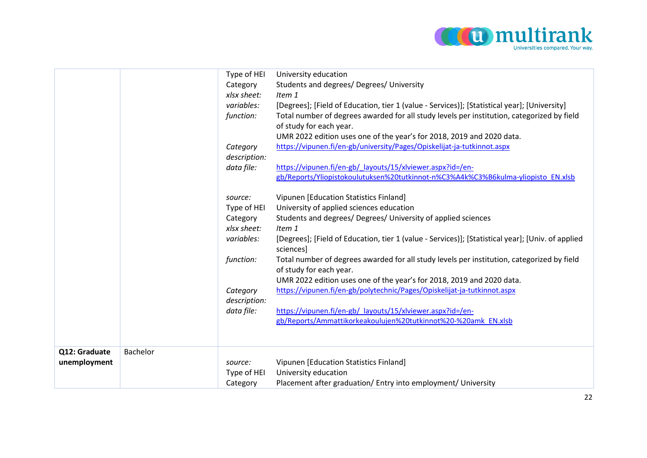

|                               |          | Type of HEI<br>Category<br>xlsx sheet:<br>variables:<br>function:<br>Category<br>description:<br>data file: | University education<br>Students and degrees/ Degrees/ University<br>Item 1<br>[Degrees]; [Field of Education, tier 1 (value - Services)]; [Statistical year]; [University]<br>Total number of degrees awarded for all study levels per institution, categorized by field<br>of study for each year.<br>UMR 2022 edition uses one of the year's for 2018, 2019 and 2020 data.<br>https://vipunen.fi/en-gb/university/Pages/Opiskelijat-ja-tutkinnot.aspx<br>https://vipunen.fi/en-gb/ layouts/15/xlviewer.aspx?id=/en-<br>gb/Reports/Yliopistokoulutuksen%20tutkinnot-n%C3%A4k%C3%B6kulma-yliopisto EN.xlsb |
|-------------------------------|----------|-------------------------------------------------------------------------------------------------------------|-------------------------------------------------------------------------------------------------------------------------------------------------------------------------------------------------------------------------------------------------------------------------------------------------------------------------------------------------------------------------------------------------------------------------------------------------------------------------------------------------------------------------------------------------------------------------------------------------------------|
|                               |          | source:<br>Type of HEI<br>Category<br>xlsx sheet:                                                           | Vipunen [Education Statistics Finland]<br>University of applied sciences education<br>Students and degrees/ Degrees/ University of applied sciences<br>Item 1                                                                                                                                                                                                                                                                                                                                                                                                                                               |
|                               |          | variables:                                                                                                  | [Degrees]; [Field of Education, tier 1 (value - Services)]; [Statistical year]; [Univ. of applied<br>sciences]                                                                                                                                                                                                                                                                                                                                                                                                                                                                                              |
|                               |          | function:                                                                                                   | Total number of degrees awarded for all study levels per institution, categorized by field<br>of study for each year.<br>UMR 2022 edition uses one of the year's for 2018, 2019 and 2020 data.                                                                                                                                                                                                                                                                                                                                                                                                              |
|                               |          | Category<br>description:                                                                                    | https://vipunen.fi/en-gb/polytechnic/Pages/Opiskelijat-ja-tutkinnot.aspx                                                                                                                                                                                                                                                                                                                                                                                                                                                                                                                                    |
|                               |          | data file:                                                                                                  | https://vipunen.fi/en-gb/_layouts/15/xlviewer.aspx?id=/en-<br>gb/Reports/Ammattikorkeakoulujen%20tutkinnot%20-%20amk EN.xlsb                                                                                                                                                                                                                                                                                                                                                                                                                                                                                |
| Q12: Graduate<br>unemployment | Bachelor | source:<br>Type of HEI<br>Category                                                                          | Vipunen [Education Statistics Finland]<br>University education<br>Placement after graduation/ Entry into employment/ University                                                                                                                                                                                                                                                                                                                                                                                                                                                                             |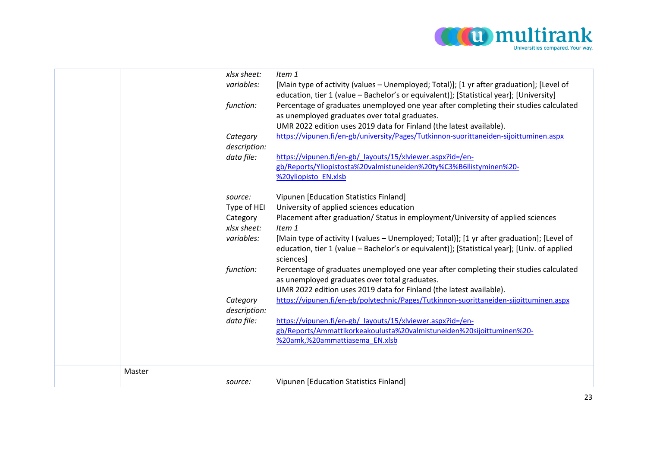

|        | xlsx sheet:<br>variables:<br>function:<br>Category<br>description:<br>data file:<br>source:<br>Type of HEI<br>Category<br>xlsx sheet:<br>variables:<br>function: | Item 1<br>[Main type of activity (values - Unemployed; Total)]; [1 yr after graduation]; [Level of<br>education, tier 1 (value - Bachelor's or equivalent)]; [Statistical year]; [University]<br>Percentage of graduates unemployed one year after completing their studies calculated<br>as unemployed graduates over total graduates.<br>UMR 2022 edition uses 2019 data for Finland (the latest available).<br>https://vipunen.fi/en-gb/university/Pages/Tutkinnon-suorittaneiden-sijoittuminen.aspx<br>https://vipunen.fi/en-gb/_layouts/15/xlviewer.aspx?id=/en-<br>gb/Reports/Yliopistosta%20valmistuneiden%20ty%C3%B6llistyminen%20-<br>%20yliopisto EN.xlsb<br>Vipunen [Education Statistics Finland]<br>University of applied sciences education<br>Placement after graduation/ Status in employment/University of applied sciences<br>Item 1<br>[Main type of activity I (values - Unemployed; Total)]; [1 yr after graduation]; [Level of<br>education, tier 1 (value - Bachelor's or equivalent)]; [Statistical year]; [Univ. of applied<br>sciences]<br>Percentage of graduates unemployed one year after completing their studies calculated<br>as unemployed graduates over total graduates.<br>UMR 2022 edition uses 2019 data for Finland (the latest available). |
|--------|------------------------------------------------------------------------------------------------------------------------------------------------------------------|------------------------------------------------------------------------------------------------------------------------------------------------------------------------------------------------------------------------------------------------------------------------------------------------------------------------------------------------------------------------------------------------------------------------------------------------------------------------------------------------------------------------------------------------------------------------------------------------------------------------------------------------------------------------------------------------------------------------------------------------------------------------------------------------------------------------------------------------------------------------------------------------------------------------------------------------------------------------------------------------------------------------------------------------------------------------------------------------------------------------------------------------------------------------------------------------------------------------------------------------------------------------------------|
|        | Category<br>description:                                                                                                                                         | https://vipunen.fi/en-gb/polytechnic/Pages/Tutkinnon-suorittaneiden-sijoittuminen.aspx                                                                                                                                                                                                                                                                                                                                                                                                                                                                                                                                                                                                                                                                                                                                                                                                                                                                                                                                                                                                                                                                                                                                                                                             |
|        | data file:                                                                                                                                                       | https://vipunen.fi/en-gb/ layouts/15/xlviewer.aspx?id=/en-<br>gb/Reports/Ammattikorkeakoulusta%20valmistuneiden%20sijoittuminen%20-<br>%20amk,%20ammattiasema EN.xlsb                                                                                                                                                                                                                                                                                                                                                                                                                                                                                                                                                                                                                                                                                                                                                                                                                                                                                                                                                                                                                                                                                                              |
| Master | source:                                                                                                                                                          | Vipunen [Education Statistics Finland]                                                                                                                                                                                                                                                                                                                                                                                                                                                                                                                                                                                                                                                                                                                                                                                                                                                                                                                                                                                                                                                                                                                                                                                                                                             |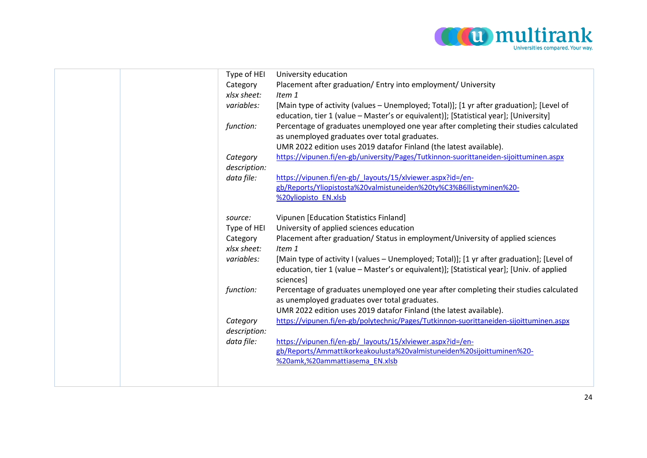

|  | Type of HEI<br>Category<br>xlsx sheet:<br>variables:<br>function:<br>Category | University education<br>Placement after graduation/ Entry into employment/ University<br>Item 1<br>[Main type of activity (values - Unemployed; Total)]; [1 yr after graduation]; [Level of<br>education, tier 1 (value - Master's or equivalent)]; [Statistical year]; [University]<br>Percentage of graduates unemployed one year after completing their studies calculated<br>as unemployed graduates over total graduates.<br>UMR 2022 edition uses 2019 datafor Finland (the latest available).<br>https://vipunen.fi/en-gb/university/Pages/Tutkinnon-suorittaneiden-sijoittuminen.aspx |
|--|-------------------------------------------------------------------------------|-----------------------------------------------------------------------------------------------------------------------------------------------------------------------------------------------------------------------------------------------------------------------------------------------------------------------------------------------------------------------------------------------------------------------------------------------------------------------------------------------------------------------------------------------------------------------------------------------|
|  | description:<br>data file:                                                    | https://vipunen.fi/en-gb/ layouts/15/xlviewer.aspx?id=/en-<br>gb/Reports/Yliopistosta%20valmistuneiden%20ty%C3%B6llistyminen%20-<br>%20yliopisto EN.xlsb                                                                                                                                                                                                                                                                                                                                                                                                                                      |
|  | source:<br>Type of HEI<br>Category<br>xlsx sheet:<br>variables:               | Vipunen [Education Statistics Finland]<br>University of applied sciences education<br>Placement after graduation/ Status in employment/University of applied sciences<br>Item 1<br>[Main type of activity I (values - Unemployed; Total)]; [1 yr after graduation]; [Level of<br>education, tier 1 (value - Master's or equivalent)]; [Statistical year]; [Univ. of applied<br>sciences]                                                                                                                                                                                                      |
|  | function:                                                                     | Percentage of graduates unemployed one year after completing their studies calculated<br>as unemployed graduates over total graduates.<br>UMR 2022 edition uses 2019 datafor Finland (the latest available).                                                                                                                                                                                                                                                                                                                                                                                  |
|  | Category<br>description:<br>data file:                                        | https://vipunen.fi/en-gb/polytechnic/Pages/Tutkinnon-suorittaneiden-sijoittuminen.aspx<br>https://vipunen.fi/en-gb/ layouts/15/xlviewer.aspx?id=/en-<br>gb/Reports/Ammattikorkeakoulusta%20valmistuneiden%20sijoittuminen%20-<br>%20amk,%20ammattiasema EN.xlsb                                                                                                                                                                                                                                                                                                                               |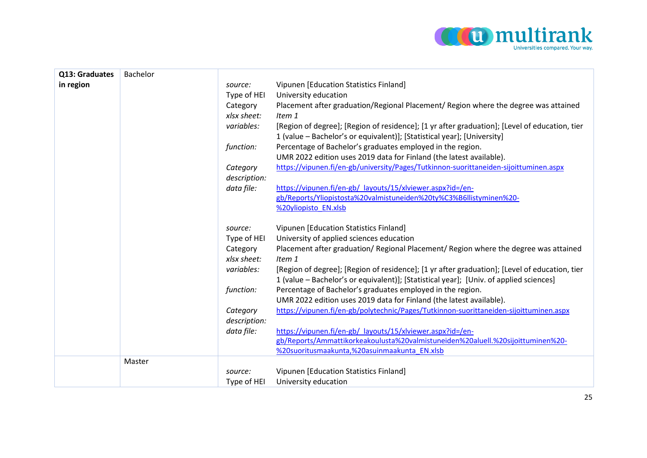

| Q13: Graduates | Bachelor |              |                                                                                                                                                                                         |
|----------------|----------|--------------|-----------------------------------------------------------------------------------------------------------------------------------------------------------------------------------------|
| in region      |          | source:      | Vipunen [Education Statistics Finland]                                                                                                                                                  |
|                |          | Type of HEI  | University education                                                                                                                                                                    |
|                |          | Category     | Placement after graduation/Regional Placement/ Region where the degree was attained                                                                                                     |
|                |          | xlsx sheet:  | Item 1                                                                                                                                                                                  |
|                |          | variables:   | [Region of degree]; [Region of residence]; [1 yr after graduation]; [Level of education, tier                                                                                           |
|                |          |              | 1 (value - Bachelor's or equivalent)]; [Statistical year]; [University]                                                                                                                 |
|                |          | function:    | Percentage of Bachelor's graduates employed in the region.                                                                                                                              |
|                |          |              | UMR 2022 edition uses 2019 data for Finland (the latest available).                                                                                                                     |
|                |          | Category     | https://vipunen.fi/en-gb/university/Pages/Tutkinnon-suorittaneiden-sijoittuminen.aspx                                                                                                   |
|                |          | description: |                                                                                                                                                                                         |
|                |          | data file:   | https://vipunen.fi/en-gb/ layouts/15/xlviewer.aspx?id=/en-                                                                                                                              |
|                |          |              | gb/Reports/Yliopistosta%20valmistuneiden%20ty%C3%B6llistyminen%20-                                                                                                                      |
|                |          |              | %20yliopisto EN.xlsb                                                                                                                                                                    |
|                |          | source:      | Vipunen [Education Statistics Finland]                                                                                                                                                  |
|                |          | Type of HEI  | University of applied sciences education                                                                                                                                                |
|                |          | Category     | Placement after graduation/ Regional Placement/ Region where the degree was attained                                                                                                    |
|                |          | xlsx sheet:  | Item 1                                                                                                                                                                                  |
|                |          | variables:   | [Region of degree]; [Region of residence]; [1 yr after graduation]; [Level of education, tier<br>1 (value – Bachelor's or equivalent)]; [Statistical year]; [Univ. of applied sciences] |
|                |          | function:    | Percentage of Bachelor's graduates employed in the region.                                                                                                                              |
|                |          |              | UMR 2022 edition uses 2019 data for Finland (the latest available).                                                                                                                     |
|                |          | Category     | https://vipunen.fi/en-gb/polytechnic/Pages/Tutkinnon-suorittaneiden-sijoittuminen.aspx                                                                                                  |
|                |          | description: |                                                                                                                                                                                         |
|                |          | data file:   | https://vipunen.fi/en-gb/_layouts/15/xlviewer.aspx?id=/en-                                                                                                                              |
|                |          |              | gb/Reports/Ammattikorkeakoulusta%20valmistuneiden%20aluell.%20sijoittuminen%20-                                                                                                         |
|                |          |              | %20suoritusmaakunta,%20asuinmaakunta EN.xlsb                                                                                                                                            |
|                | Master   |              |                                                                                                                                                                                         |
|                |          | source:      | Vipunen [Education Statistics Finland]                                                                                                                                                  |
|                |          | Type of HEI  | University education                                                                                                                                                                    |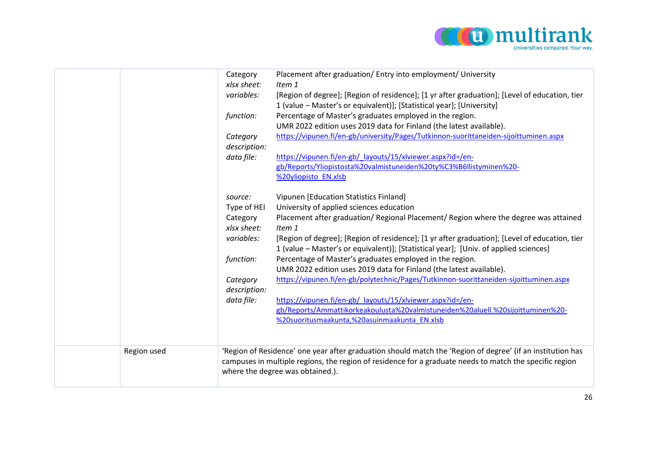

|             | Category<br>xlsx sheet:<br>variables:<br>function:<br>Category<br>description:<br>data file:<br>source:<br>Type of HEI<br>Category<br>xlsx sheet:<br>variables:<br>function:<br>Category<br>description:<br>data file: | Placement after graduation/ Entry into employment/ University<br>Item 1<br>[Region of degree]; [Region of residence]; [1 yr after graduation]; [Level of education, tier<br>1 (value - Master's or equivalent)]; [Statistical year]; [University]<br>Percentage of Master's graduates employed in the region.<br>UMR 2022 edition uses 2019 data for Finland (the latest available).<br>https://vipunen.fi/en-gb/university/Pages/Tutkinnon-suorittaneiden-sijoittuminen.aspx<br>https://vipunen.fi/en-gb/_layouts/15/xlviewer.aspx?id=/en-<br>gb/Reports/Yliopistosta%20valmistuneiden%20ty%C3%B6llistyminen%20-<br>%20yliopisto EN.xlsb<br>Vipunen [Education Statistics Finland]<br>University of applied sciences education<br>Placement after graduation/ Regional Placement/ Region where the degree was attained<br>Item 1<br>[Region of degree]; [Region of residence]; [1 yr after graduation]; [Level of education, tier<br>1 (value - Master's or equivalent)]; [Statistical year]; [Univ. of applied sciences]<br>Percentage of Master's graduates employed in the region.<br>UMR 2022 edition uses 2019 data for Finland (the latest available).<br>https://vipunen.fi/en-gb/polytechnic/Pages/Tutkinnon-suorittaneiden-sijoittuminen.aspx<br>https://vipunen.fi/en-gb/ layouts/15/xlviewer.aspx?id=/en-<br>gb/Reports/Ammattikorkeakoulusta%20valmistuneiden%20aluell.%20sijoittuminen%20-<br>%20suoritusmaakunta,%20asuinmaakunta_EN.xlsb |
|-------------|------------------------------------------------------------------------------------------------------------------------------------------------------------------------------------------------------------------------|----------------------------------------------------------------------------------------------------------------------------------------------------------------------------------------------------------------------------------------------------------------------------------------------------------------------------------------------------------------------------------------------------------------------------------------------------------------------------------------------------------------------------------------------------------------------------------------------------------------------------------------------------------------------------------------------------------------------------------------------------------------------------------------------------------------------------------------------------------------------------------------------------------------------------------------------------------------------------------------------------------------------------------------------------------------------------------------------------------------------------------------------------------------------------------------------------------------------------------------------------------------------------------------------------------------------------------------------------------------------------------------------------------------------------------------------------------|
| Region used |                                                                                                                                                                                                                        | 'Region of Residence' one year after graduation should match the 'Region of degree' (if an institution has<br>campuses in multiple regions, the region of residence for a graduate needs to match the specific region<br>where the degree was obtained.).                                                                                                                                                                                                                                                                                                                                                                                                                                                                                                                                                                                                                                                                                                                                                                                                                                                                                                                                                                                                                                                                                                                                                                                                |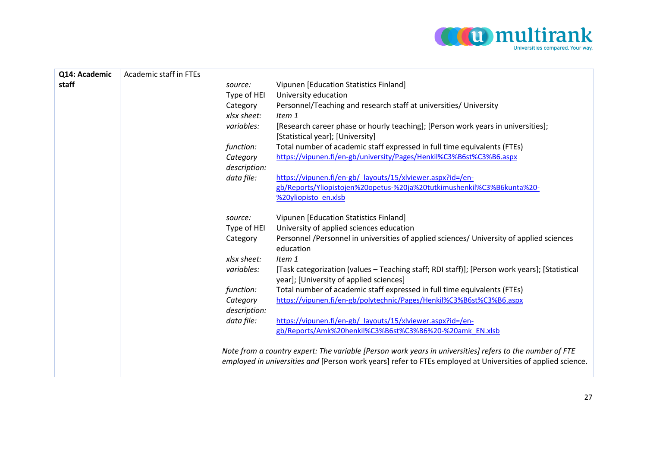

| Q14: Academic | Academic staff in FTEs |              |                                                                                                                                                                                                                         |
|---------------|------------------------|--------------|-------------------------------------------------------------------------------------------------------------------------------------------------------------------------------------------------------------------------|
| staff         |                        | source:      | Vipunen [Education Statistics Finland]                                                                                                                                                                                  |
|               |                        | Type of HEI  | University education                                                                                                                                                                                                    |
|               |                        | Category     | Personnel/Teaching and research staff at universities/ University                                                                                                                                                       |
|               |                        | xlsx sheet:  | Item 1                                                                                                                                                                                                                  |
|               |                        | variables:   | [Research career phase or hourly teaching]; [Person work years in universities];<br>[Statistical year]; [University]                                                                                                    |
|               |                        | function:    | Total number of academic staff expressed in full time equivalents (FTEs)                                                                                                                                                |
|               |                        | Category     | https://vipunen.fi/en-gb/university/Pages/Henkil%C3%B6st%C3%B6.aspx                                                                                                                                                     |
|               |                        | description: |                                                                                                                                                                                                                         |
|               |                        | data file:   | https://vipunen.fi/en-gb/ layouts/15/xlviewer.aspx?id=/en-                                                                                                                                                              |
|               |                        |              | gb/Reports/Yliopistojen%20opetus-%20ja%20tutkimushenkil%C3%B6kunta%20-                                                                                                                                                  |
|               |                        |              | %20yliopisto en.xlsb                                                                                                                                                                                                    |
|               |                        | source:      | Vipunen [Education Statistics Finland]                                                                                                                                                                                  |
|               |                        | Type of HEI  | University of applied sciences education                                                                                                                                                                                |
|               |                        | Category     | Personnel /Personnel in universities of applied sciences/ University of applied sciences                                                                                                                                |
|               |                        |              | education                                                                                                                                                                                                               |
|               |                        | xlsx sheet:  | Item 1                                                                                                                                                                                                                  |
|               |                        | variables:   | [Task categorization (values - Teaching staff; RDI staff)]; [Person work years]; [Statistical                                                                                                                           |
|               |                        |              | year]; [University of applied sciences]                                                                                                                                                                                 |
|               |                        | function:    | Total number of academic staff expressed in full time equivalents (FTEs)<br>https://vipunen.fi/en-gb/polytechnic/Pages/Henkil%C3%B6st%C3%B6.aspx                                                                        |
|               |                        | Category     |                                                                                                                                                                                                                         |
|               |                        | description: |                                                                                                                                                                                                                         |
|               |                        | data file:   | https://vipunen.fi/en-gb/ layouts/15/xlviewer.aspx?id=/en-<br>gb/Reports/Amk%20henkil%C3%B6st%C3%B6%20-%20amk EN.xlsb                                                                                                   |
|               |                        |              |                                                                                                                                                                                                                         |
|               |                        |              | Note from a country expert: The variable [Person work years in universities] refers to the number of FTE<br>employed in universities and [Person work years] refer to FTEs employed at Universities of applied science. |
|               |                        |              |                                                                                                                                                                                                                         |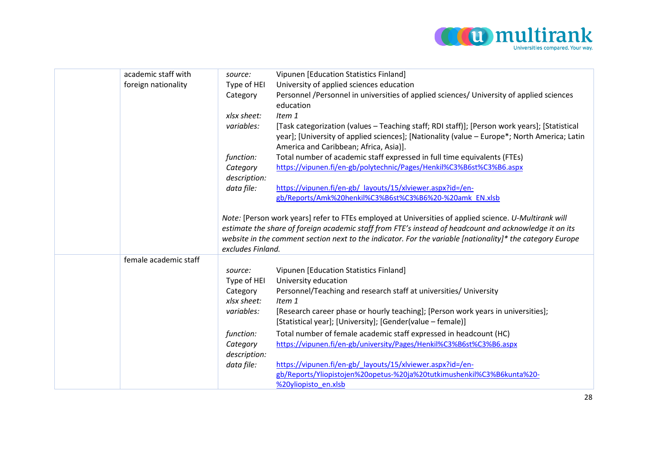

| academic staff with   | source:                  | Vipunen [Education Statistics Finland]                                                                                                                                                                                                  |
|-----------------------|--------------------------|-----------------------------------------------------------------------------------------------------------------------------------------------------------------------------------------------------------------------------------------|
| foreign nationality   | Type of HEI              | University of applied sciences education                                                                                                                                                                                                |
|                       | Category                 | Personnel /Personnel in universities of applied sciences/ University of applied sciences<br>education                                                                                                                                   |
|                       | xlsx sheet:              | Item 1                                                                                                                                                                                                                                  |
|                       | variables:               | [Task categorization (values - Teaching staff; RDI staff)]; [Person work years]; [Statistical<br>year]; [University of applied sciences]; [Nationality (value - Europe*; North America; Latin<br>America and Caribbean; Africa, Asia)]. |
|                       | function:                | Total number of academic staff expressed in full time equivalents (FTEs)                                                                                                                                                                |
|                       | Category<br>description: | https://vipunen.fi/en-gb/polytechnic/Pages/Henkil%C3%B6st%C3%B6.aspx                                                                                                                                                                    |
|                       | data file:               | https://vipunen.fi/en-gb/ layouts/15/xlviewer.aspx?id=/en-                                                                                                                                                                              |
|                       |                          | gb/Reports/Amk%20henkil%C3%B6st%C3%B6%20-%20amk EN.xlsb                                                                                                                                                                                 |
|                       |                          |                                                                                                                                                                                                                                         |
|                       |                          | Note: [Person work years] refer to FTEs employed at Universities of applied science. U-Multirank will                                                                                                                                   |
|                       |                          | estimate the share of foreign academic staff from FTE's instead of headcount and acknowledge it on its                                                                                                                                  |
|                       |                          | website in the comment section next to the indicator. For the variable [nationality]* the category Europe                                                                                                                               |
|                       | excludes Finland.        |                                                                                                                                                                                                                                         |
| female academic staff |                          |                                                                                                                                                                                                                                         |
|                       | source:                  | Vipunen [Education Statistics Finland]                                                                                                                                                                                                  |
|                       | Type of HEI              | University education                                                                                                                                                                                                                    |
|                       | Category                 | Personnel/Teaching and research staff at universities/ University                                                                                                                                                                       |
|                       | xlsx sheet:              | Item 1                                                                                                                                                                                                                                  |
|                       | variables:               | [Research career phase or hourly teaching]; [Person work years in universities];                                                                                                                                                        |
|                       |                          | [Statistical year]; [University]; [Gender(value – female)]                                                                                                                                                                              |
|                       | function:                | Total number of female academic staff expressed in headcount (HC)                                                                                                                                                                       |
|                       | Category                 | https://vipunen.fi/en-gb/university/Pages/Henkil%C3%B6st%C3%B6.aspx                                                                                                                                                                     |
|                       | description:             |                                                                                                                                                                                                                                         |
|                       | data file:               | https://vipunen.fi/en-gb/ layouts/15/xlviewer.aspx?id=/en-                                                                                                                                                                              |
|                       |                          | gb/Reports/Yliopistojen%20opetus-%20ja%20tutkimushenkil%C3%B6kunta%20-                                                                                                                                                                  |
|                       |                          | %20yliopisto en.xlsb                                                                                                                                                                                                                    |
|                       |                          |                                                                                                                                                                                                                                         |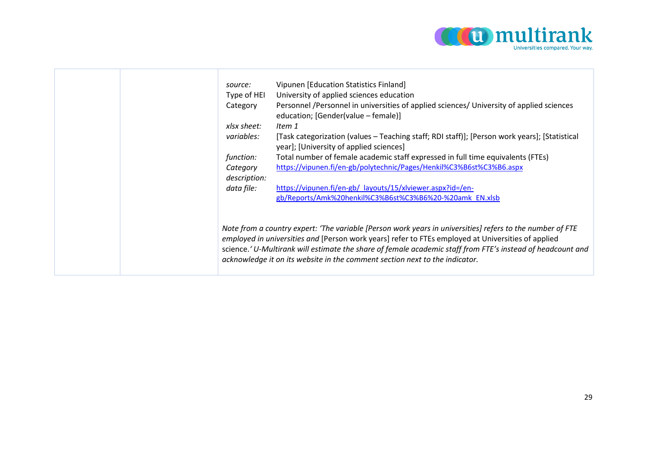

|  | source:                  | Vipunen [Education Statistics Finland]                                                                                                                                                                                                                                                                                                                                                                       |
|--|--------------------------|--------------------------------------------------------------------------------------------------------------------------------------------------------------------------------------------------------------------------------------------------------------------------------------------------------------------------------------------------------------------------------------------------------------|
|  | Type of HEI              | University of applied sciences education                                                                                                                                                                                                                                                                                                                                                                     |
|  | Category                 | Personnel /Personnel in universities of applied sciences/ University of applied sciences<br>education; [Gender(value - female)]                                                                                                                                                                                                                                                                              |
|  | xlsx sheet:              | Item 1                                                                                                                                                                                                                                                                                                                                                                                                       |
|  | variables:               | [Task categorization (values - Teaching staff; RDI staff)]; [Person work years]; [Statistical<br>year]; [University of applied sciences]                                                                                                                                                                                                                                                                     |
|  | function:                | Total number of female academic staff expressed in full time equivalents (FTEs)                                                                                                                                                                                                                                                                                                                              |
|  | Category<br>description: | https://vipunen.fi/en-gb/polytechnic/Pages/Henkil%C3%B6st%C3%B6.aspx                                                                                                                                                                                                                                                                                                                                         |
|  | data file:               | https://vipunen.fi/en-gb/ layouts/15/xlviewer.aspx?id=/en-                                                                                                                                                                                                                                                                                                                                                   |
|  |                          | gb/Reports/Amk%20henkil%C3%B6st%C3%B6%20-%20amk EN.xlsb                                                                                                                                                                                                                                                                                                                                                      |
|  |                          |                                                                                                                                                                                                                                                                                                                                                                                                              |
|  |                          | Note from a country expert: 'The variable [Person work years in universities] refers to the number of FTE<br>employed in universities and [Person work years] refer to FTEs employed at Universities of applied<br>science.' U-Multirank will estimate the share of female academic staff from FTE's instead of headcount and<br>acknowledge it on its website in the comment section next to the indicator. |
|  |                          |                                                                                                                                                                                                                                                                                                                                                                                                              |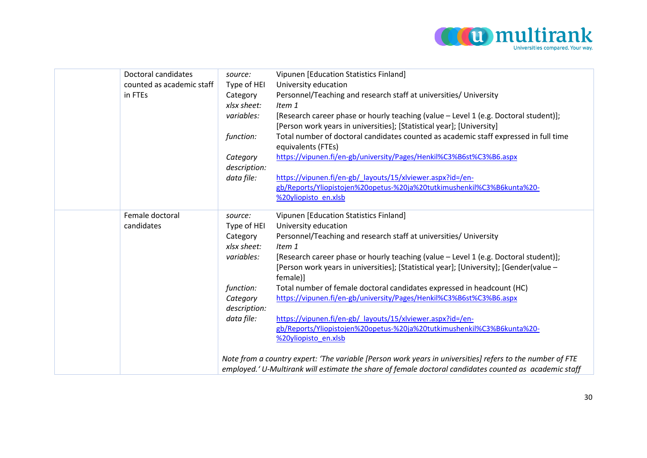

| Doctoral candidates       | source:      | Vipunen [Education Statistics Finland]                                                                    |
|---------------------------|--------------|-----------------------------------------------------------------------------------------------------------|
| counted as academic staff | Type of HEI  | University education                                                                                      |
| in FTEs                   | Category     | Personnel/Teaching and research staff at universities/ University                                         |
|                           | xlsx sheet:  | Item 1                                                                                                    |
|                           | variables:   | [Research career phase or hourly teaching (value - Level 1 (e.g. Doctoral student)];                      |
|                           |              | [Person work years in universities]; [Statistical year]; [University]                                     |
|                           | function:    | Total number of doctoral candidates counted as academic staff expressed in full time                      |
|                           |              | equivalents (FTEs)                                                                                        |
|                           | Category     | https://vipunen.fi/en-gb/university/Pages/Henkil%C3%B6st%C3%B6.aspx                                       |
|                           | description: |                                                                                                           |
|                           | data file:   | https://vipunen.fi/en-gb/ layouts/15/xlviewer.aspx?id=/en-                                                |
|                           |              | gb/Reports/Yliopistojen%20opetus-%20ja%20tutkimushenkil%C3%B6kunta%20-                                    |
|                           |              | %20yliopisto en.xlsb                                                                                      |
| Female doctoral           | source:      | Vipunen [Education Statistics Finland]                                                                    |
| candidates                | Type of HEI  | University education                                                                                      |
|                           | Category     | Personnel/Teaching and research staff at universities/ University                                         |
|                           | xlsx sheet:  | Item 1                                                                                                    |
|                           | variables:   | [Research career phase or hourly teaching (value - Level 1 (e.g. Doctoral student)];                      |
|                           |              | [Person work years in universities]; [Statistical year]; [University]; [Gender(value -                    |
|                           |              | female)]                                                                                                  |
|                           | function:    | Total number of female doctoral candidates expressed in headcount (HC)                                    |
|                           | Category     | https://vipunen.fi/en-gb/university/Pages/Henkil%C3%B6st%C3%B6.aspx                                       |
|                           | description: |                                                                                                           |
|                           | data file:   | https://vipunen.fi/en-gb/ layouts/15/xlviewer.aspx?id=/en-                                                |
|                           |              | gb/Reports/Yliopistojen%20opetus-%20ja%20tutkimushenkil%C3%B6kunta%20-                                    |
|                           |              | %20yliopisto en.xlsb                                                                                      |
|                           |              |                                                                                                           |
|                           |              | Note from a country expert: 'The variable [Person work years in universities] refers to the number of FTE |
|                           |              | employed.' U-Multirank will estimate the share of female doctoral candidates counted as academic staff    |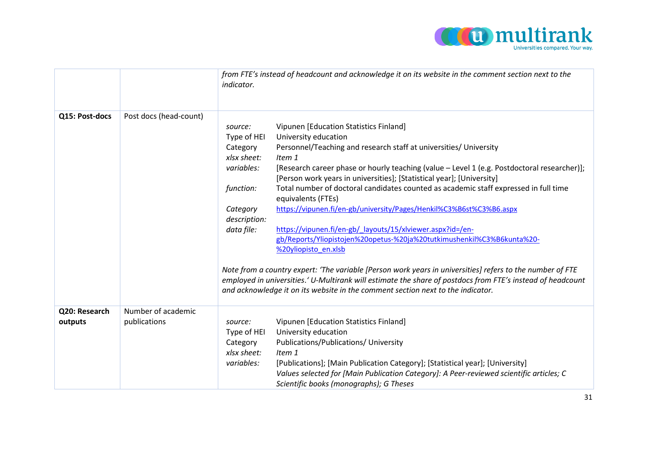

|                          |                                    | from FTE's instead of headcount and acknowledge it on its website in the comment section next to the<br><i>indicator.</i>                                                                                                                                                                                                                                                                                                                                                                                                                                                                                                                                                                                                                                                                                                                                                                                                                                                                                                                                                                                          |
|--------------------------|------------------------------------|--------------------------------------------------------------------------------------------------------------------------------------------------------------------------------------------------------------------------------------------------------------------------------------------------------------------------------------------------------------------------------------------------------------------------------------------------------------------------------------------------------------------------------------------------------------------------------------------------------------------------------------------------------------------------------------------------------------------------------------------------------------------------------------------------------------------------------------------------------------------------------------------------------------------------------------------------------------------------------------------------------------------------------------------------------------------------------------------------------------------|
| Q15: Post-docs           | Post docs (head-count)             | Vipunen [Education Statistics Finland]<br>source:<br>University education<br>Type of HEI<br>Personnel/Teaching and research staff at universities/ University<br>Category<br>xlsx sheet:<br>Item 1<br>[Research career phase or hourly teaching (value - Level 1 (e.g. Postdoctoral researcher)];<br>variables:<br>[Person work years in universities]; [Statistical year]; [University]<br>Total number of doctoral candidates counted as academic staff expressed in full time<br>function:<br>equivalents (FTEs)<br>https://vipunen.fi/en-gb/university/Pages/Henkil%C3%B6st%C3%B6.aspx<br>Category<br>description:<br>https://vipunen.fi/en-gb/_layouts/15/xlviewer.aspx?id=/en-<br>data file:<br>gb/Reports/Yliopistojen%20opetus-%20ja%20tutkimushenkil%C3%B6kunta%20-<br>%20yliopisto en.xlsb<br>Note from a country expert: 'The variable [Person work years in universities] refers to the number of FTE<br>employed in universities.' U-Multirank will estimate the share of postdocs from FTE's instead of headcount<br>and acknowledge it on its website in the comment section next to the indicator. |
| Q20: Research<br>outputs | Number of academic<br>publications | Vipunen [Education Statistics Finland]<br>source:<br>University education<br>Type of HEI<br>Publications/Publications/ University<br>Category<br>xlsx sheet:<br>Item 1<br>variables:<br>[Publications]; [Main Publication Category]; [Statistical year]; [University]<br>Values selected for [Main Publication Category]: A Peer-reviewed scientific articles; C<br>Scientific books (monographs); G Theses                                                                                                                                                                                                                                                                                                                                                                                                                                                                                                                                                                                                                                                                                                        |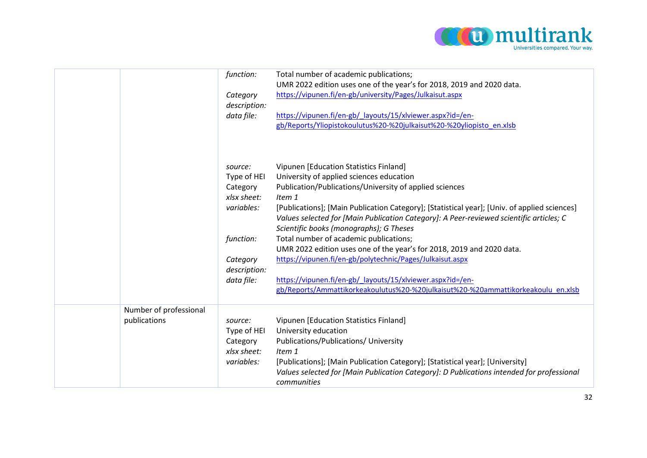

|                                        | function:<br>Category<br>description:<br>data file:                                                                    | Total number of academic publications;<br>UMR 2022 edition uses one of the year's for 2018, 2019 and 2020 data.<br>https://vipunen.fi/en-gb/university/Pages/Julkaisut.aspx<br>https://vipunen.fi/en-gb/ layouts/15/xlviewer.aspx?id=/en-<br>gb/Reports/Yliopistokoulutus%20-%20julkaisut%20-%20yliopisto en.xlsb                                                                                                                                                                                                                                                                                                                                                                                                                |
|----------------------------------------|------------------------------------------------------------------------------------------------------------------------|----------------------------------------------------------------------------------------------------------------------------------------------------------------------------------------------------------------------------------------------------------------------------------------------------------------------------------------------------------------------------------------------------------------------------------------------------------------------------------------------------------------------------------------------------------------------------------------------------------------------------------------------------------------------------------------------------------------------------------|
|                                        | source:<br>Type of HEI<br>Category<br>xlsx sheet:<br>variables:<br>function:<br>Category<br>description:<br>data file: | Vipunen [Education Statistics Finland]<br>University of applied sciences education<br>Publication/Publications/University of applied sciences<br>Item 1<br>[Publications]; [Main Publication Category]; [Statistical year]; [Univ. of applied sciences]<br>Values selected for [Main Publication Category]: A Peer-reviewed scientific articles; C<br>Scientific books (monographs); G Theses<br>Total number of academic publications;<br>UMR 2022 edition uses one of the year's for 2018, 2019 and 2020 data.<br>https://vipunen.fi/en-gb/polytechnic/Pages/Julkaisut.aspx<br>https://vipunen.fi/en-gb/ layouts/15/xlviewer.aspx?id=/en-<br>gb/Reports/Ammattikorkeakoulutus%20-%20julkaisut%20-%20ammattikorkeakoulu en.xlsb |
| Number of professional<br>publications | source:<br>Type of HEI<br>Category<br>xlsx sheet:<br>variables:                                                        | Vipunen [Education Statistics Finland]<br>University education<br>Publications/Publications/ University<br>Item 1<br>[Publications]; [Main Publication Category]; [Statistical year]; [University]<br>Values selected for [Main Publication Category]: D Publications intended for professional<br>communities                                                                                                                                                                                                                                                                                                                                                                                                                   |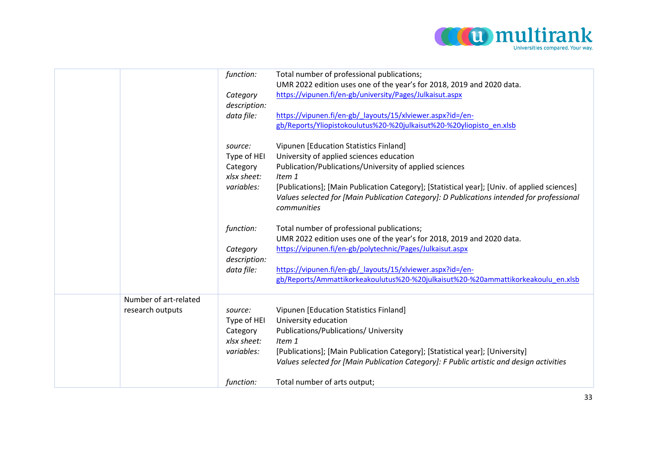

|                                           | function:<br>Category<br>description:<br>data file:             | Total number of professional publications;<br>UMR 2022 edition uses one of the year's for 2018, 2019 and 2020 data.<br>https://vipunen.fi/en-gb/university/Pages/Julkaisut.aspx<br>https://vipunen.fi/en-gb/ layouts/15/xlviewer.aspx?id=/en-<br>gb/Reports/Yliopistokoulutus%20-%20julkaisut%20-%20yliopisto en.xlsb                                               |
|-------------------------------------------|-----------------------------------------------------------------|---------------------------------------------------------------------------------------------------------------------------------------------------------------------------------------------------------------------------------------------------------------------------------------------------------------------------------------------------------------------|
|                                           | source:<br>Type of HEI<br>Category<br>xlsx sheet:<br>variables: | Vipunen [Education Statistics Finland]<br>University of applied sciences education<br>Publication/Publications/University of applied sciences<br>Item 1<br>[Publications]; [Main Publication Category]; [Statistical year]; [Univ. of applied sciences]<br>Values selected for [Main Publication Category]: D Publications intended for professional<br>communities |
|                                           | function:<br>Category<br>description:<br>data file:             | Total number of professional publications;<br>UMR 2022 edition uses one of the year's for 2018, 2019 and 2020 data.<br>https://vipunen.fi/en-gb/polytechnic/Pages/Julkaisut.aspx<br>https://vipunen.fi/en-gb/ layouts/15/xlviewer.aspx?id=/en-<br>gb/Reports/Ammattikorkeakoulutus%20-%20julkaisut%20-%20ammattikorkeakoulu en.xlsb                                 |
| Number of art-related<br>research outputs | source:<br>Type of HEI<br>Category<br>xlsx sheet:<br>variables: | Vipunen [Education Statistics Finland]<br>University education<br>Publications/Publications/ University<br>Item 1<br>[Publications]; [Main Publication Category]; [Statistical year]; [University]<br>Values selected for [Main Publication Category]: F Public artistic and design activities                                                                      |
|                                           | function:                                                       | Total number of arts output;                                                                                                                                                                                                                                                                                                                                        |